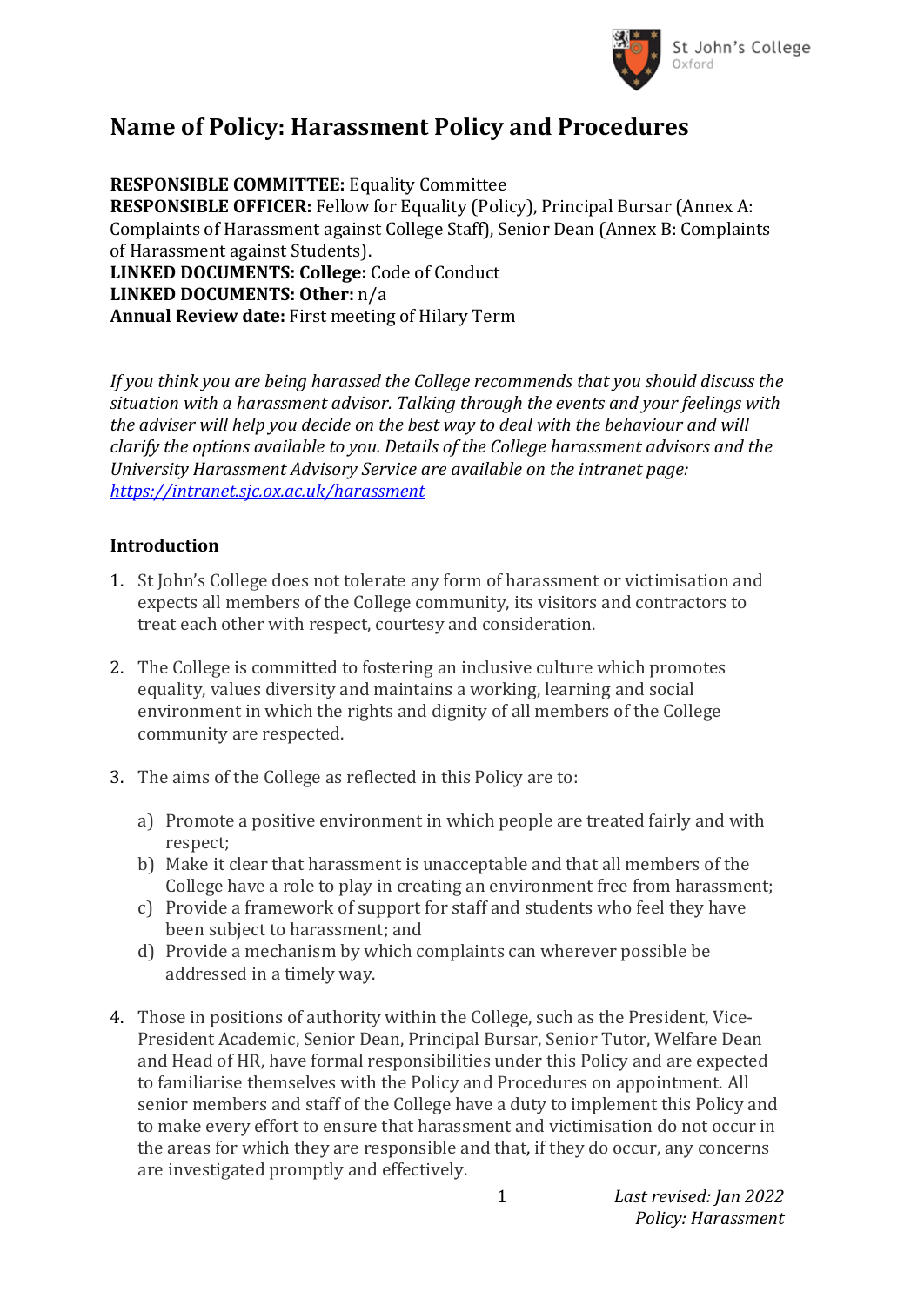

## **Name of Policy: Harassment Policy and Procedures**

**RESPONSIBLE COMMITTEE:** Equality Committee **RESPONSIBLE OFFICER:** Fellow for Equality (Policy), Principal Bursar (Annex A: Complaints of Harassment against College Staff), Senior Dean (Annex B: Complaints of Harassment against Students). **LINKED DOCUMENTS: College:** Code of Conduct **LINKED DOCUMENTS: Other:** n/a **Annual Review date:** First meeting of Hilary Term

*If you think you are being harassed the College recommends that you should discuss the situation with a harassment advisor. Talking through the events and your feelings with the adviser will help you decide on the best way to deal with the behaviour and will clarify the options available to you. Details of the College harassment advisors and the University Harassment Advisory Service are available on the intranet page: <https://intranet.sjc.ox.ac.uk/harassment>*

#### **Introduction**

- 1. St John's College does not tolerate any form of harassment or victimisation and expects all members of the College community, its visitors and contractors to treat each other with respect, courtesy and consideration.
- 2. The College is committed to fostering an inclusive culture which promotes equality, values diversity and maintains a working, learning and social environment in which the rights and dignity of all members of the College community are respected.
- 3. The aims of the College as reflected in this Policy are to:
	- a) Promote a positive environment in which people are treated fairly and with respect;
	- b) Make it clear that harassment is unacceptable and that all members of the College have a role to play in creating an environment free from harassment;
	- c) Provide a framework of support for staff and students who feel they have been subject to harassment; and
	- d) Provide a mechanism by which complaints can wherever possible be addressed in a timely way.
- 4. Those in positions of authority within the College, such as the President, Vice-President Academic, Senior Dean, Principal Bursar, Senior Tutor, Welfare Dean and Head of HR, have formal responsibilities under this Policy and are expected to familiarise themselves with the Policy and Procedures on appointment. All senior members and staff of the College have a duty to implement this Policy and to make every effort to ensure that harassment and victimisation do not occur in the areas for which they are responsible and that, if they do occur, any concerns are investigated promptly and effectively.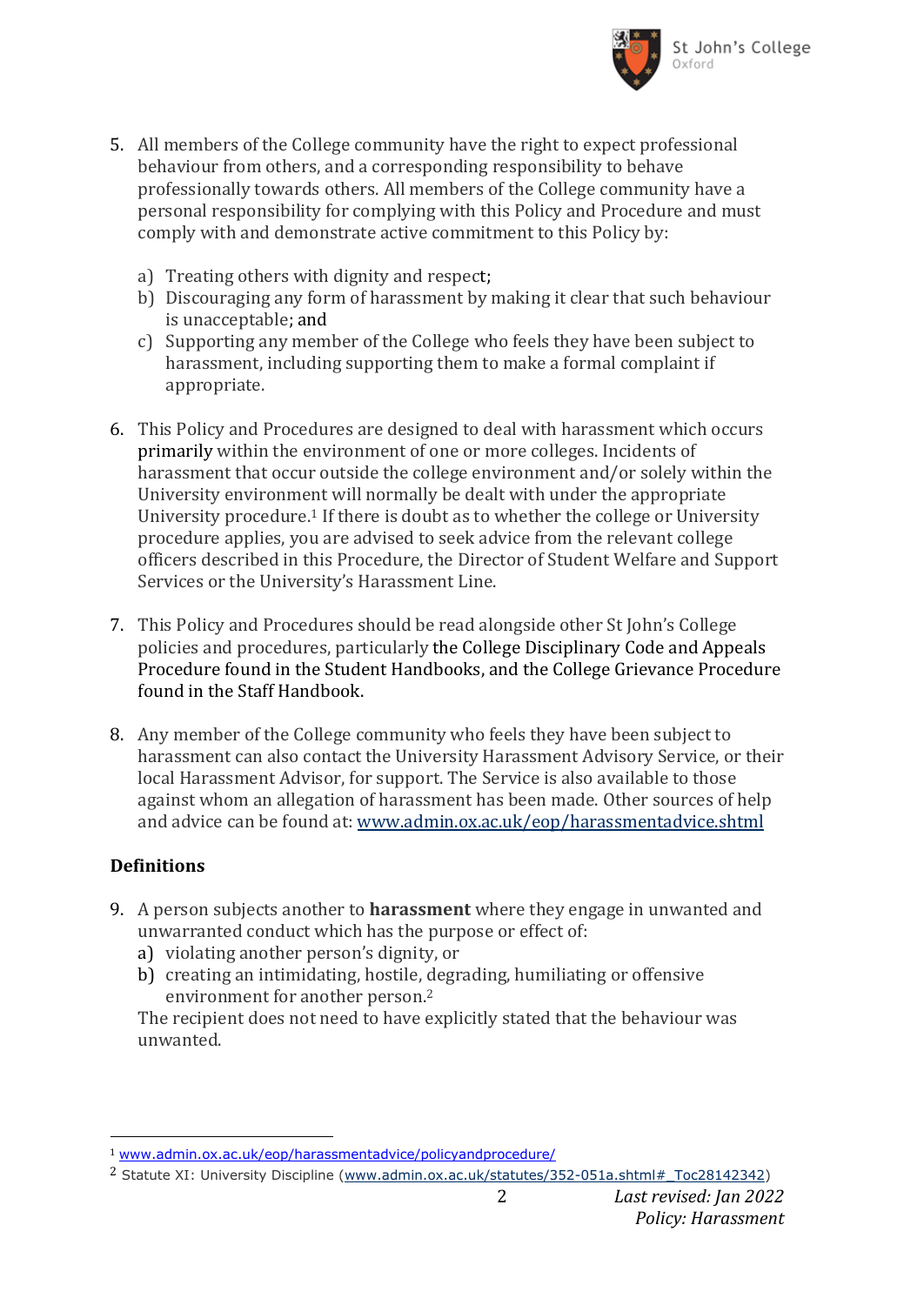

- 5. All members of the College community have the right to expect professional behaviour from others, and a corresponding responsibility to behave professionally towards others. All members of the College community have a personal responsibility for complying with this Policy and Procedure and must comply with and demonstrate active commitment to this Policy by:
	- a) Treating others with dignity and respect;
	- b) Discouraging any form of harassment by making it clear that such behaviour is unacceptable; and
	- c) Supporting any member of the College who feels they have been subject to harassment, including supporting them to make a formal complaint if appropriate.
- 6. This Policy and Procedures are designed to deal with harassment which occurs primarily within the environment of one or more colleges. Incidents of harassment that occur outside the college environment and/or solely within the University environment will normally be dealt with under the appropriate University procedure.<sup>1</sup> If there is doubt as to whether the college or University procedure applies, you are advised to seek advice from the relevant college officers described in this Procedure, the Director of Student Welfare and Support Services or the University's Harassment Line.
- 7. This Policy and Procedures should be read alongside other St John's College policies and procedures, particularly the College Disciplinary Code and Appeals Procedure found in the Student Handbooks, and the College Grievance Procedure found in the Staff Handbook.
- 8. Any member of the College community who feels they have been subject to harassment can also contact the University Harassment Advisory Service, or their local Harassment Advisor, for support. The Service is also available to those against whom an allegation of harassment has been made. Other sources of help and advice can be found at: [www.admin.ox.ac.uk/eop/harassmentadvice.shtml](http://www.admin.ox.ac.uk/eop/harassmentadvice/)

### **Definitions**

 $\overline{a}$ 

- 9. A person subjects another to **harassment** where they engage in unwanted and unwarranted conduct which has the purpose or effect of:
	- a) violating another person's dignity, or
	- b) creating an intimidating, hostile, degrading, humiliating or offensive environment for another person.<sup>2</sup>

The recipient does not need to have explicitly stated that the behaviour was unwanted.

<sup>1</sup> [www.admin.ox.ac.uk/eop/harassmentadvice/policyandprocedure/](http://www.admin.ox.ac.uk/eop/harassmentadvice/policyandprocedure/)

<sup>&</sup>lt;sup>2</sup> Statute XI: University Discipline (www.admin.ox.ac.uk/statutes/352-051a.shtml# Toc28142342)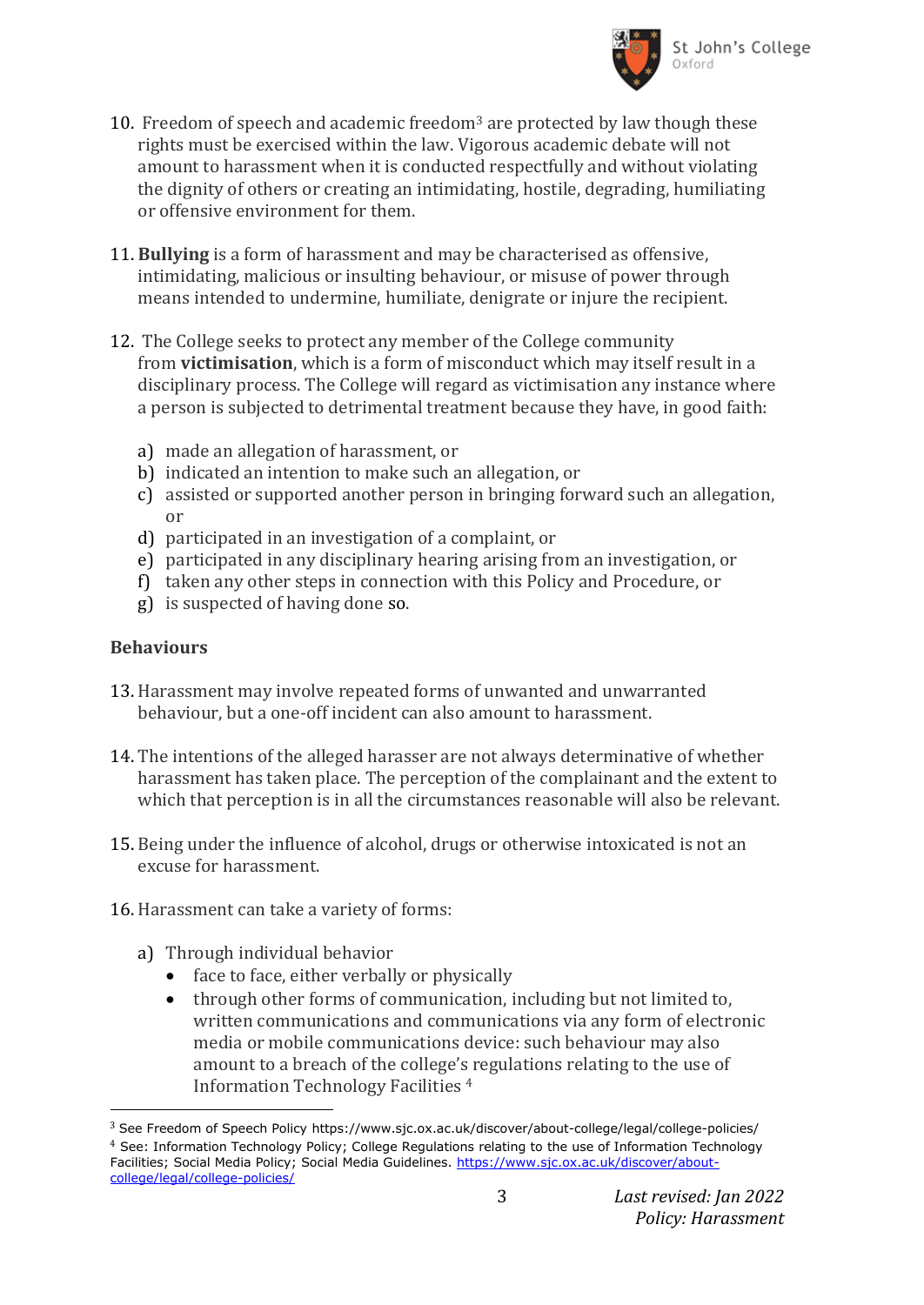

- 10. Freedom of speech and academic freedom<sup>3</sup> are protected by law though these rights must be exercised within the law. Vigorous academic debate will not amount to harassment when it is conducted respectfully and without violating the dignity of others or creating an intimidating, hostile, degrading, humiliating or offensive environment for them.
- 11. **Bullying** is a form of harassment and may be characterised as offensive, intimidating, malicious or insulting behaviour, or misuse of power through means intended to undermine, humiliate, denigrate or injure the recipient.
- 12. The College seeks to protect any member of the College community from **victimisation**, which is a form of misconduct which may itself result in a disciplinary process. The College will regard as victimisation any instance where a person is subjected to detrimental treatment because they have, in good faith:
	- a) made an allegation of harassment, or
	- b) indicated an intention to make such an allegation, or
	- c) assisted or supported another person in bringing forward such an allegation, or
	- d) participated in an investigation of a complaint, or
	- e) participated in any disciplinary hearing arising from an investigation, or
	- f) taken any other steps in connection with this Policy and Procedure, or
	- g) is suspected of having done so.

#### **Behaviours**

l

- 13. Harassment may involve repeated forms of unwanted and unwarranted behaviour, but a one-off incident can also amount to harassment.
- 14. The intentions of the alleged harasser are not always determinative of whether harassment has taken place. The perception of the complainant and the extent to which that perception is in all the circumstances reasonable will also be relevant.
- 15. Being under the influence of alcohol, drugs or otherwise intoxicated is not an excuse for harassment.
- 16. Harassment can take a variety of forms:
	- a) Through individual behavior
		- face to face, either verbally or physically
		- through other forms of communication, including but not limited to, written communications and communications via any form of electronic media or mobile communications device: such behaviour may also amount to a breach of the college's regulations relating to the use of Information Technology Facilities <sup>4</sup>

<sup>3</sup> See Freedom of Speech Policy https://www.sjc.ox.ac.uk/discover/about-college/legal/college-policies/ 4 See: Information Technology Policy; College Regulations relating to the use of Information Technology Facilities; Social Media Policy; Social Media Guidelines. [https://www.sjc.ox.ac.uk/discover/about](https://www.sjc.ox.ac.uk/discover/about-college/legal/college-policies/)[college/legal/college-policies/](https://www.sjc.ox.ac.uk/discover/about-college/legal/college-policies/)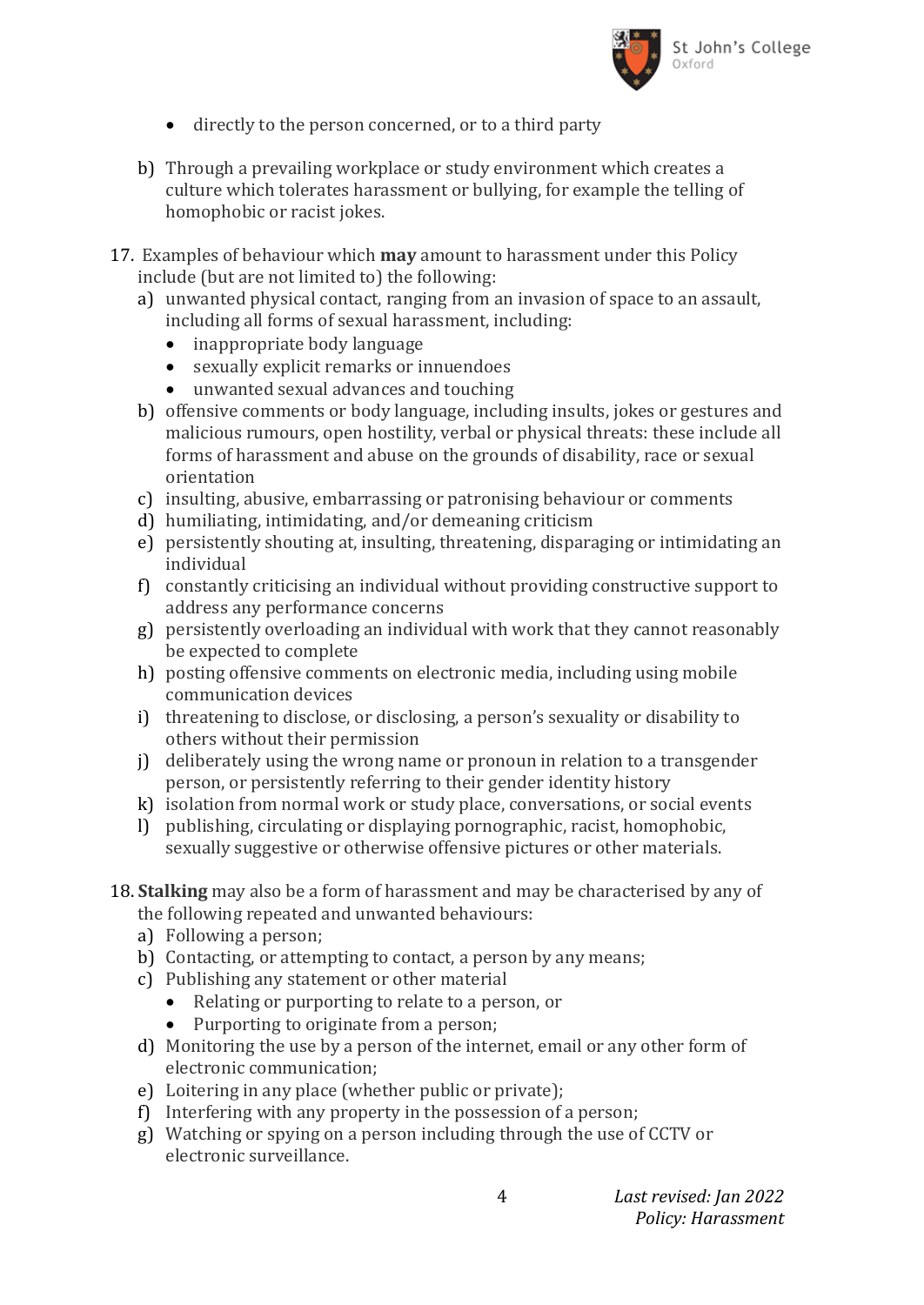

- directly to the person concerned, or to a third party
- b) Through a prevailing workplace or study environment which creates a culture which tolerates harassment or bullying, for example the telling of homophobic or racist jokes.
- 17. Examples of behaviour which **may** amount to harassment under this Policy include (but are not limited to) the following:
	- a) unwanted physical contact, ranging from an invasion of space to an assault, including all forms of sexual harassment, including:
		- inappropriate body language
		- sexually explicit remarks or innuendoes
		- unwanted sexual advances and touching
	- b) offensive comments or body language, including insults, jokes or gestures and malicious rumours, open hostility, verbal or physical threats: these include all forms of harassment and abuse on the grounds of disability, race or sexual orientation
	- c) insulting, abusive, embarrassing or patronising behaviour or comments
	- d) humiliating, intimidating, and/or demeaning criticism
	- e) persistently shouting at, insulting, threatening, disparaging or intimidating an individual
	- f) constantly criticising an individual without providing constructive support to address any performance concerns
	- g) persistently overloading an individual with work that they cannot reasonably be expected to complete
	- h) posting offensive comments on electronic media, including using mobile communication devices
	- i) threatening to disclose, or disclosing, a person's sexuality or disability to others without their permission
	- j) deliberately using the wrong name or pronoun in relation to a transgender person, or persistently referring to their gender identity history
	- k) isolation from normal work or study place, conversations, or social events
	- l) publishing, circulating or displaying pornographic, racist, homophobic, sexually suggestive or otherwise offensive pictures or other materials.

#### 18. **Stalking** may also be a form of harassment and may be characterised by any of the following repeated and unwanted behaviours:

- a) Following a person;
- b) Contacting, or attempting to contact, a person by any means;
- c) Publishing any statement or other material
	- Relating or purporting to relate to a person, or
	- Purporting to originate from a person;
- d) Monitoring the use by a person of the internet, email or any other form of electronic communication;
- e) Loitering in any place (whether public or private);
- f) Interfering with any property in the possession of a person;
- g) Watching or spying on a person including through the use of CCTV or electronic surveillance.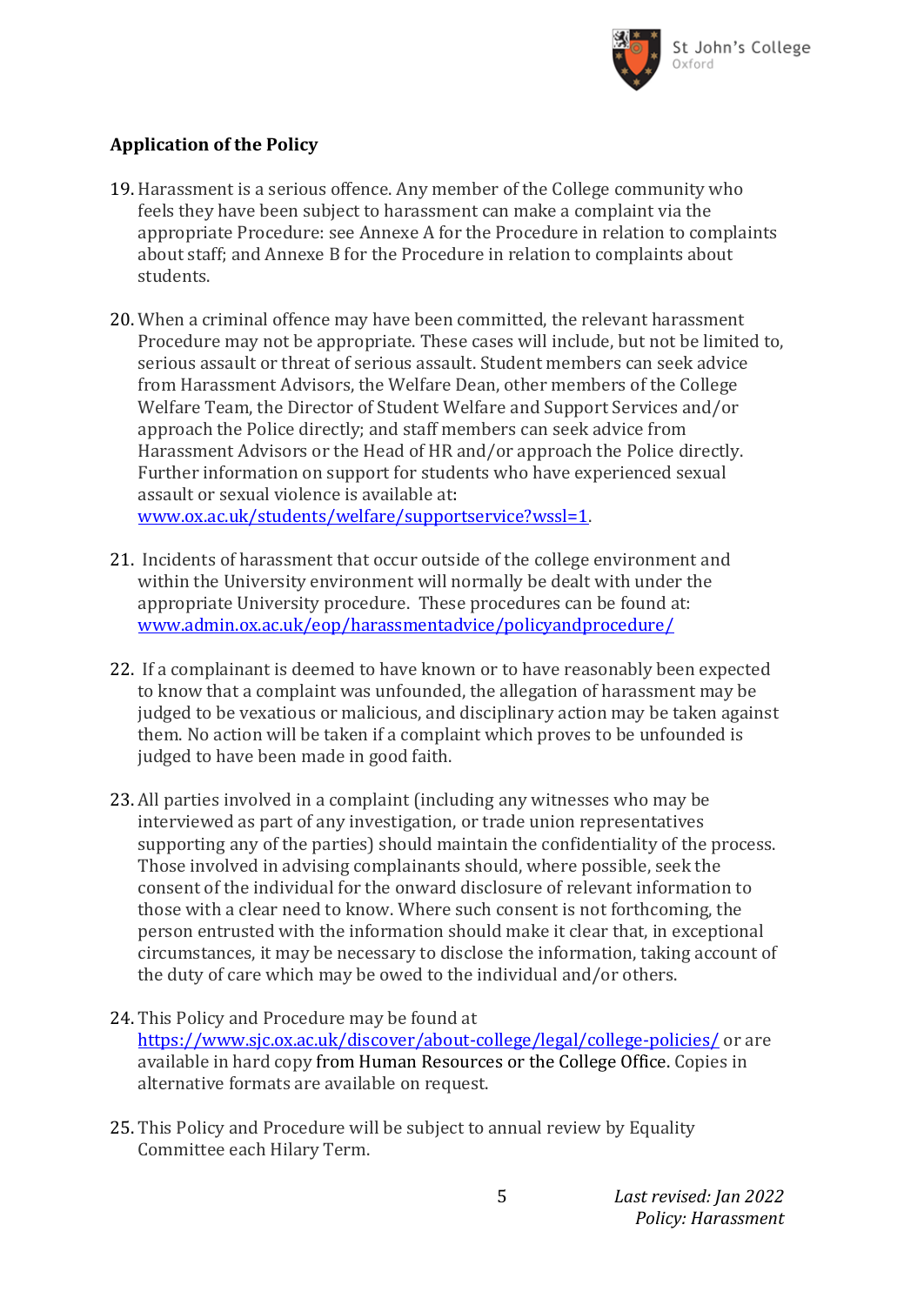

## **Application of the Policy**

- 19. Harassment is a serious offence. Any member of the College community who feels they have been subject to harassment can make a complaint via the appropriate Procedure: see Annexe A for the Procedure in relation to complaints about staff; and Annexe B for the Procedure in relation to complaints about students.
- 20. When a criminal offence may have been committed, the relevant harassment Procedure may not be appropriate. These cases will include, but not be limited to, serious assault or threat of serious assault. Student members can seek advice from Harassment Advisors, the Welfare Dean, other members of the College Welfare Team, the Director of Student Welfare and Support Services and/or approach the Police directly; and staff members can seek advice from Harassment Advisors or the Head of HR and/or approach the Police directly. Further information on support for students who have experienced sexual assault or sexual violence is available at: [www.ox.ac.uk/students/welfare/supportservice?wssl=1.](http://www.ox.ac.uk/students/welfare/supportservice?wssl=1)
- 21. Incidents of harassment that occur outside of the college environment and within the University environment will normally be dealt with under the appropriate University procedure. These procedures can be found at: [www.admin.ox.ac.uk/eop/harassmentadvice/policyandprocedure/](http://www.admin.ox.ac.uk/eop/harassmentadvice/policyandprocedure/)
- 22. If a complainant is deemed to have known or to have reasonably been expected to know that a complaint was unfounded, the allegation of harassment may be judged to be vexatious or malicious, and disciplinary action may be taken against them. No action will be taken if a complaint which proves to be unfounded is judged to have been made in good faith.
- 23. All parties involved in a complaint (including any witnesses who may be interviewed as part of any investigation, or trade union representatives supporting any of the parties) should maintain the confidentiality of the process. Those involved in advising complainants should, where possible, seek the consent of the individual for the onward disclosure of relevant information to those with a clear need to know. Where such consent is not forthcoming, the person entrusted with the information should make it clear that, in exceptional circumstances, it may be necessary to disclose the information, taking account of the duty of care which may be owed to the individual and/or others.
- 24. This Policy and Procedure may be found at <https://www.sjc.ox.ac.uk/discover/about-college/legal/college-policies/> or are available in hard copy from Human Resources or the College Office. Copies in alternative formats are available on request.
- 25. This Policy and Procedure will be subject to annual review by Equality Committee each Hilary Term.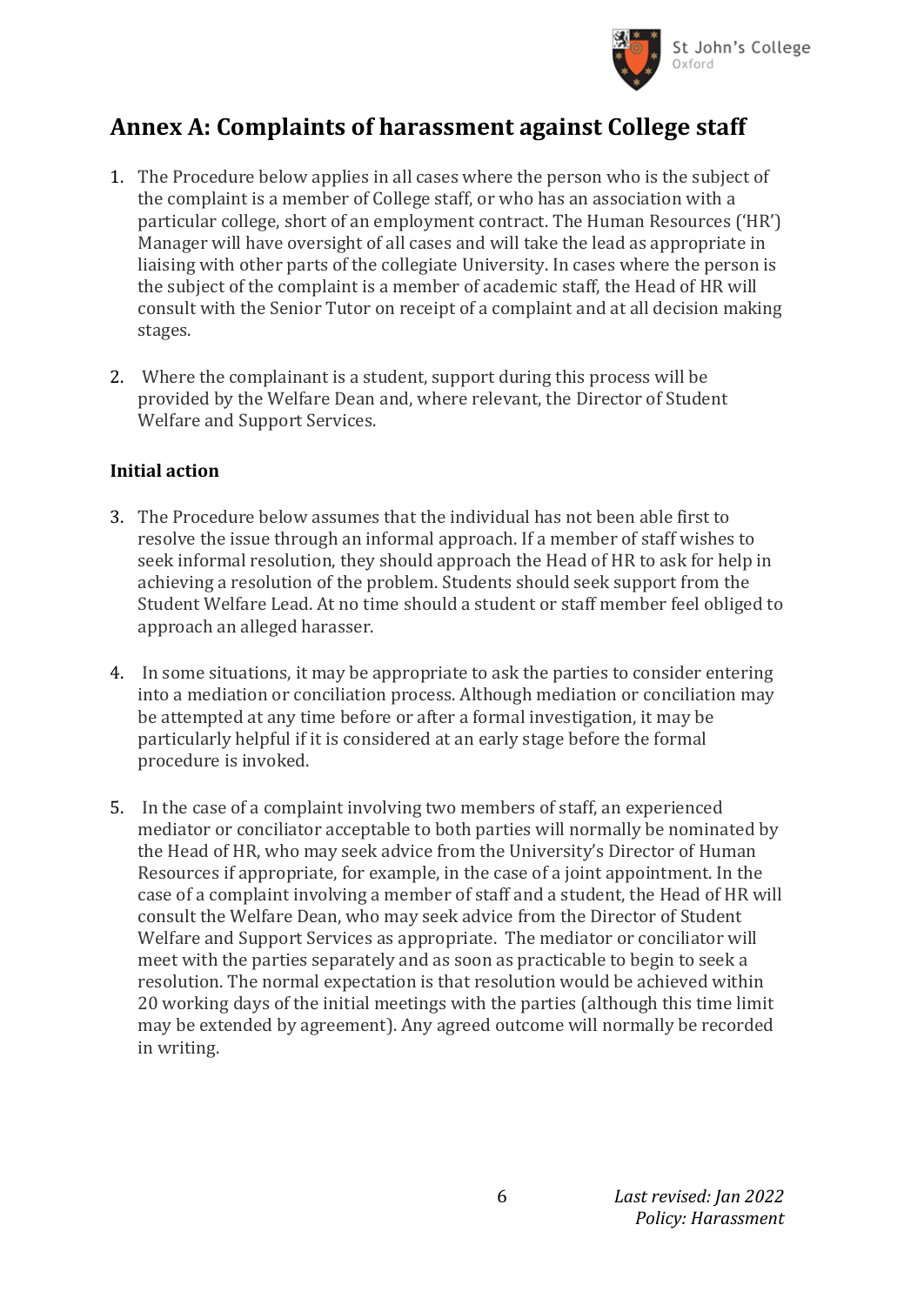

## **Annex A: Complaints of harassment against College staff**

- 1. The Procedure below applies in all cases where the person who is the subject of the complaint is a member of College staff, or who has an association with a particular college, short of an employment contract. The Human Resources ('HR') Manager will have oversight of all cases and will take the lead as appropriate in liaising with other parts of the collegiate University. In cases where the person is the subject of the complaint is a member of academic staff, the Head of HR will consult with the Senior Tutor on receipt of a complaint and at all decision making stages.
- 2. Where the complainant is a student, support during this process will be provided by the Welfare Dean and, where relevant, the Director of Student Welfare and Support Services.

#### **Initial action**

- 3. The Procedure below assumes that the individual has not been able first to resolve the issue through an informal approach. If a member of staff wishes to seek informal resolution, they should approach the Head of HR to ask for help in achieving a resolution of the problem. Students should seek support from the Student Welfare Lead. At no time should a student or staff member feel obliged to approach an alleged harasser.
- 4. In some situations, it may be appropriate to ask the parties to consider entering into a mediation or conciliation process. Although mediation or conciliation may be attempted at any time before or after a formal investigation, it may be particularly helpful if it is considered at an early stage before the formal procedure is invoked.
- 5. In the case of a complaint involving two members of staff, an experienced mediator or conciliator acceptable to both parties will normally be nominated by the Head of HR, who may seek advice from the University's Director of Human Resources if appropriate, for example, in the case of a joint appointment. In the case of a complaint involving a member of staff and a student, the Head of HR will consult the Welfare Dean, who may seek advice from the Director of Student Welfare and Support Services as appropriate. The mediator or conciliator will meet with the parties separately and as soon as practicable to begin to seek a resolution. The normal expectation is that resolution would be achieved within 20 working days of the initial meetings with the parties (although this time limit may be extended by agreement). Any agreed outcome will normally be recorded in writing.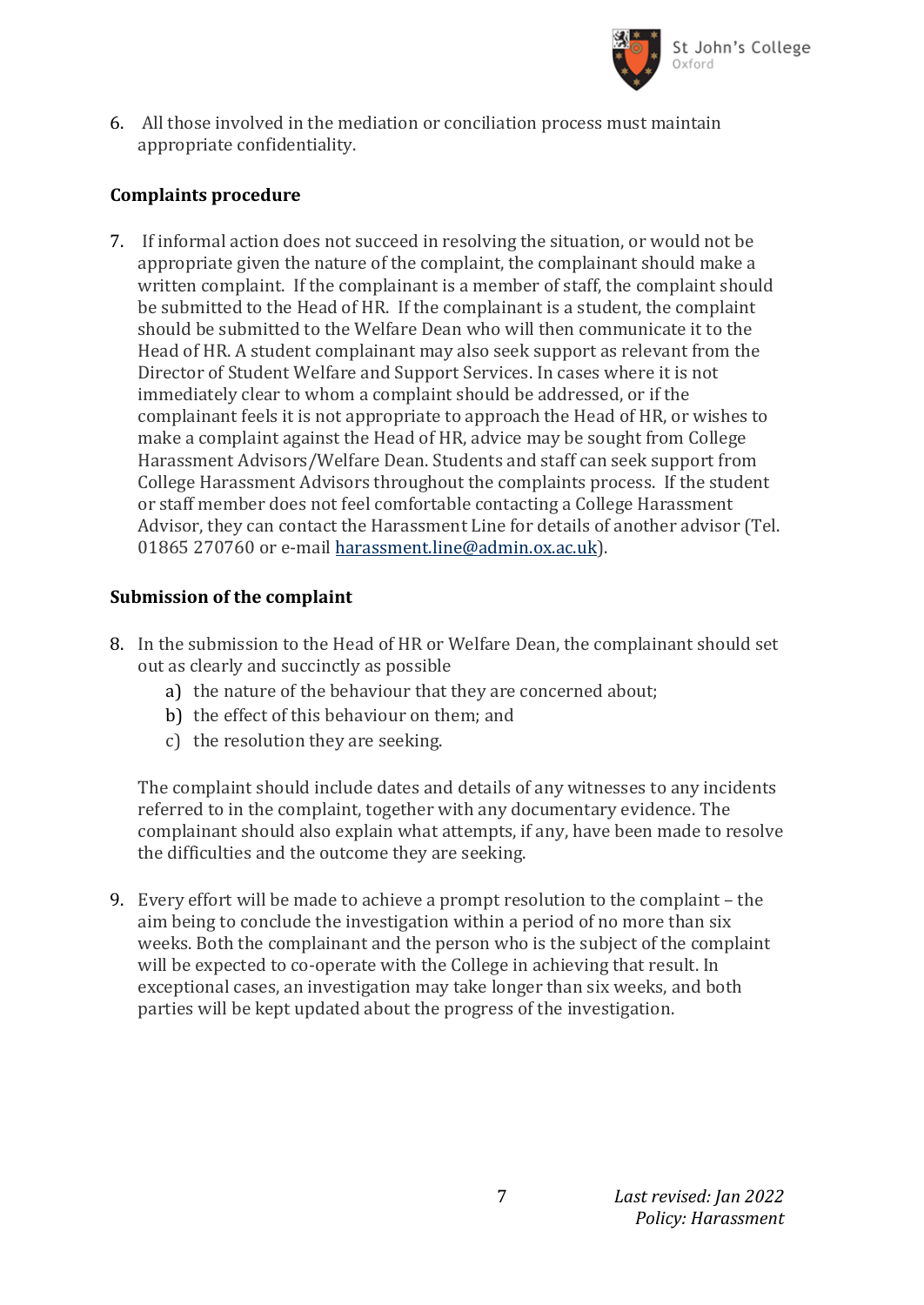

6. All those involved in the mediation or conciliation process must maintain appropriate confidentiality.

### **Complaints procedure**

7. If informal action does not succeed in resolving the situation, or would not be appropriate given the nature of the complaint, the complainant should make a written complaint. If the complainant is a member of staff, the complaint should be submitted to the Head of HR. If the complainant is a student, the complaint should be submitted to the Welfare Dean who will then communicate it to the Head of HR. A student complainant may also seek support as relevant from the Director of Student Welfare and Support Services. In cases where it is not immediately clear to whom a complaint should be addressed, or if the complainant feels it is not appropriate to approach the Head of HR, or wishes to make a complaint against the Head of HR, advice may be sought from College Harassment Advisors/Welfare Dean. Students and staff can seek support from College Harassment Advisors throughout the complaints process. If the student or staff member does not feel comfortable contacting a College Harassment Advisor, they can contact the Harassment Line for details of another advisor (Tel. 01865 270760 or e-mail [harassment.line@admin.ox.ac.uk\)](mailto:harassment.line@admin.ox.ac.uk).

#### **Submission of the complaint**

- 8. In the submission to the Head of HR or Welfare Dean, the complainant should set out as clearly and succinctly as possible
	- a) the nature of the behaviour that they are concerned about;
	- b) the effect of this behaviour on them; and
	- c) the resolution they are seeking.

The complaint should include dates and details of any witnesses to any incidents referred to in the complaint, together with any documentary evidence. The complainant should also explain what attempts, if any, have been made to resolve the difficulties and the outcome they are seeking.

9. Every effort will be made to achieve a prompt resolution to the complaint – the aim being to conclude the investigation within a period of no more than six weeks. Both the complainant and the person who is the subject of the complaint will be expected to co-operate with the College in achieving that result. In exceptional cases, an investigation may take longer than six weeks, and both parties will be kept updated about the progress of the investigation.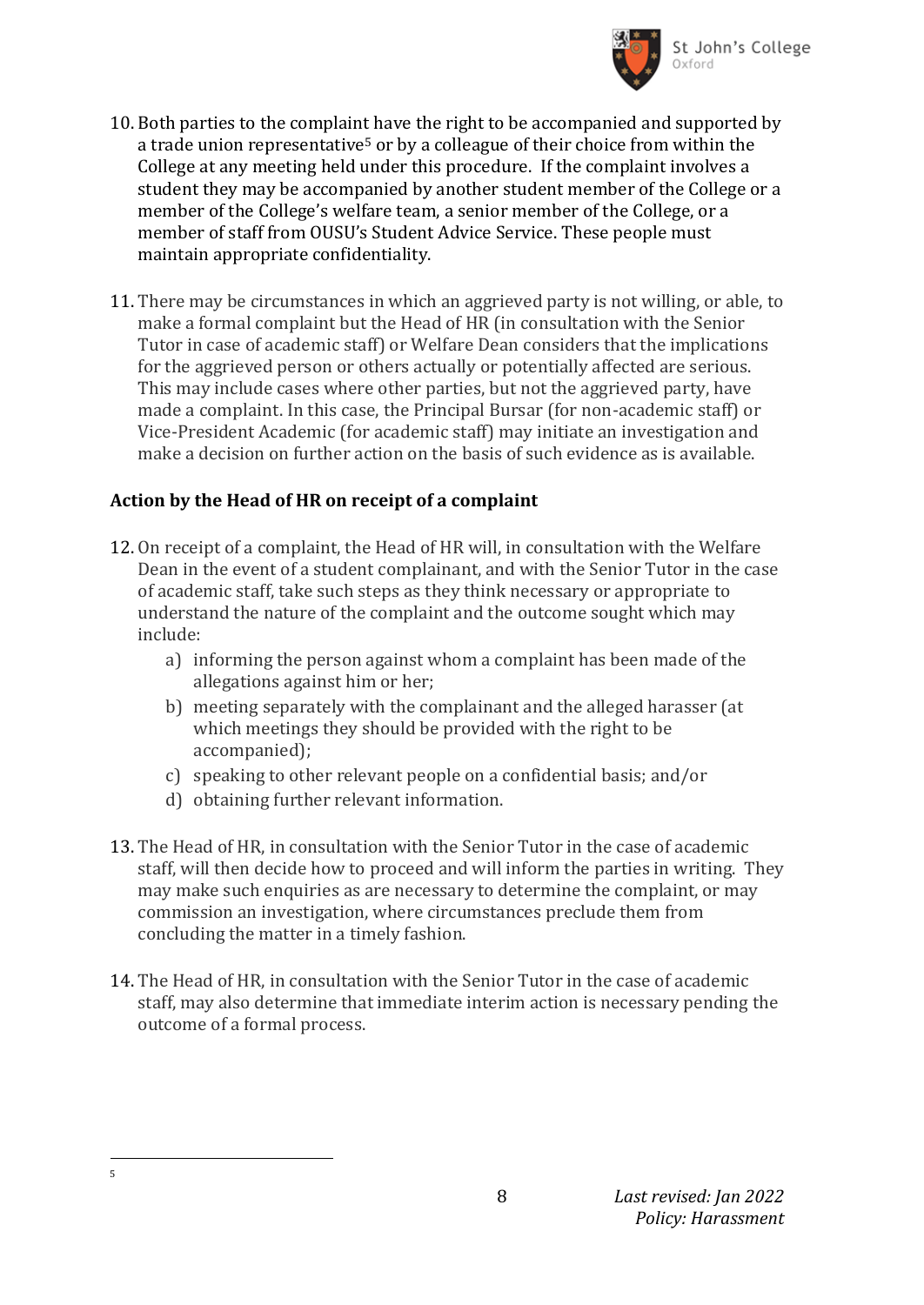

- 10. Both parties to the complaint have the right to be accompanied and supported by a trade union representative<sup>5</sup> or by a colleague of their choice from within the College at any meeting held under this procedure. If the complaint involves a student they may be accompanied by another student member of the College or a member of the College's welfare team, a senior member of the College, or a member of staff from OUSU's Student Advice Service. These people must maintain appropriate confidentiality.
- 11. There may be circumstances in which an aggrieved party is not willing, or able, to make a formal complaint but the Head of HR (in consultation with the Senior Tutor in case of academic staff) or Welfare Dean considers that the implications for the aggrieved person or others actually or potentially affected are serious. This may include cases where other parties, but not the aggrieved party, have made a complaint. In this case, the Principal Bursar (for non-academic staff) or Vice-President Academic (for academic staff) may initiate an investigation and make a decision on further action on the basis of such evidence as is available.

### **Action by the Head of HR on receipt of a complaint**

- 12. On receipt of a complaint, the Head of HR will, in consultation with the Welfare Dean in the event of a student complainant, and with the Senior Tutor in the case of academic staff, take such steps as they think necessary or appropriate to understand the nature of the complaint and the outcome sought which may include:
	- a) informing the person against whom a complaint has been made of the allegations against him or her;
	- b) meeting separately with the complainant and the alleged harasser (at which meetings they should be provided with the right to be accompanied);
	- c) speaking to other relevant people on a confidential basis; and/or
	- d) obtaining further relevant information.
- 13. The Head of HR, in consultation with the Senior Tutor in the case of academic staff, will then decide how to proceed and will inform the parties in writing. They may make such enquiries as are necessary to determine the complaint, or may commission an investigation, where circumstances preclude them from concluding the matter in a timely fashion.
- 14. The Head of HR, in consultation with the Senior Tutor in the case of academic staff, may also determine that immediate interim action is necessary pending the outcome of a formal process.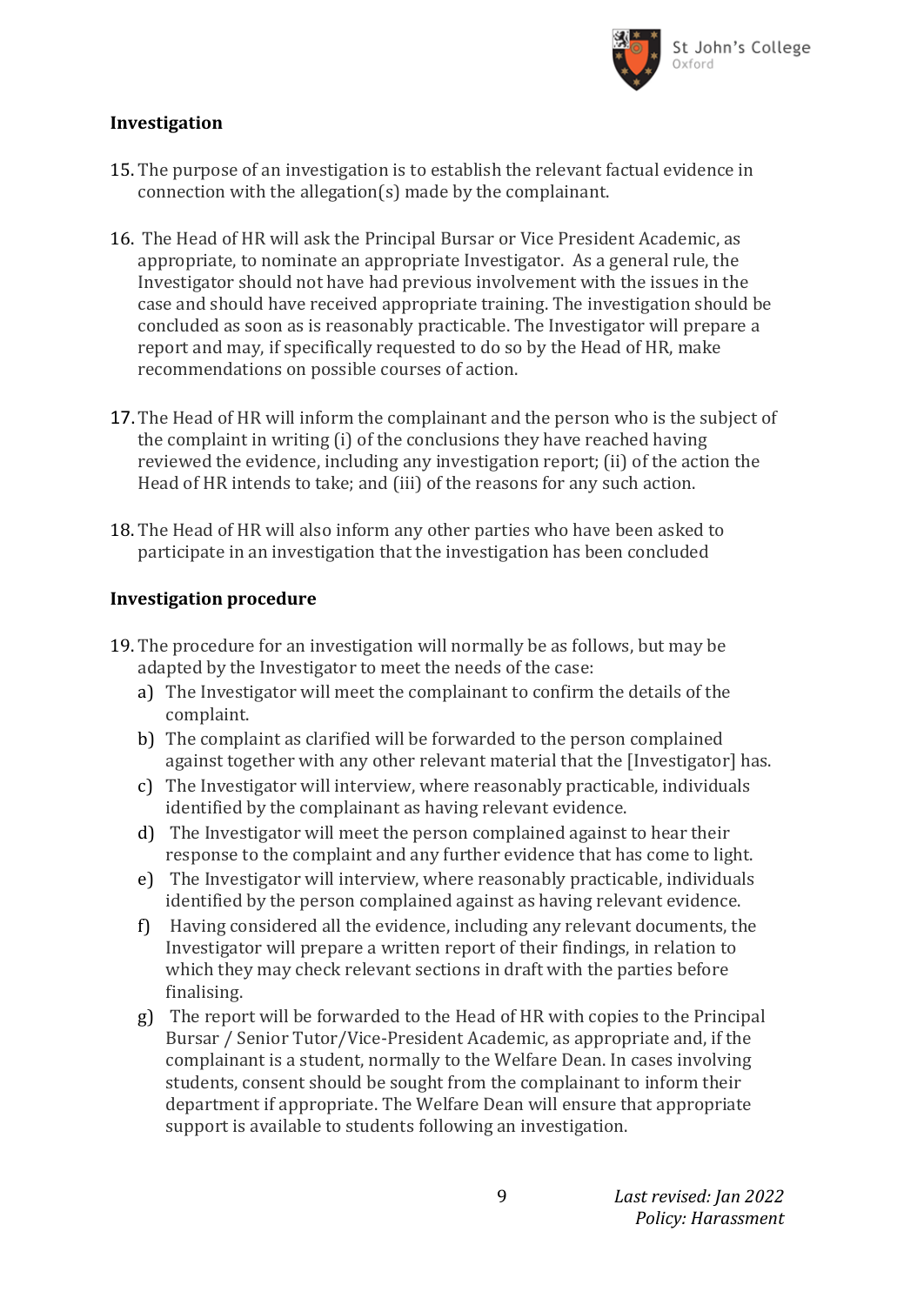

#### **Investigation**

- 15. The purpose of an investigation is to establish the relevant factual evidence in connection with the allegation(s) made by the complainant.
- 16. The Head of HR will ask the Principal Bursar or Vice President Academic, as appropriate, to nominate an appropriate Investigator. As a general rule, the Investigator should not have had previous involvement with the issues in the case and should have received appropriate training. The investigation should be concluded as soon as is reasonably practicable. The Investigator will prepare a report and may, if specifically requested to do so by the Head of HR, make recommendations on possible courses of action.
- 17.The Head of HR will inform the complainant and the person who is the subject of the complaint in writing (i) of the conclusions they have reached having reviewed the evidence, including any investigation report; (ii) of the action the Head of HR intends to take; and (iii) of the reasons for any such action.
- 18. The Head of HR will also inform any other parties who have been asked to participate in an investigation that the investigation has been concluded

#### **Investigation procedure**

- 19. The procedure for an investigation will normally be as follows, but may be adapted by the Investigator to meet the needs of the case:
	- a) The Investigator will meet the complainant to confirm the details of the complaint.
	- b) The complaint as clarified will be forwarded to the person complained against together with any other relevant material that the [Investigator] has.
	- c) The Investigator will interview, where reasonably practicable, individuals identified by the complainant as having relevant evidence.
	- d) The Investigator will meet the person complained against to hear their response to the complaint and any further evidence that has come to light.
	- e) The Investigator will interview, where reasonably practicable, individuals identified by the person complained against as having relevant evidence.
	- f) Having considered all the evidence, including any relevant documents, the Investigator will prepare a written report of their findings, in relation to which they may check relevant sections in draft with the parties before finalising.
	- g) The report will be forwarded to the Head of HR with copies to the Principal Bursar / Senior Tutor/Vice-President Academic, as appropriate and, if the complainant is a student, normally to the Welfare Dean. In cases involving students, consent should be sought from the complainant to inform their department if appropriate. The Welfare Dean will ensure that appropriate support is available to students following an investigation.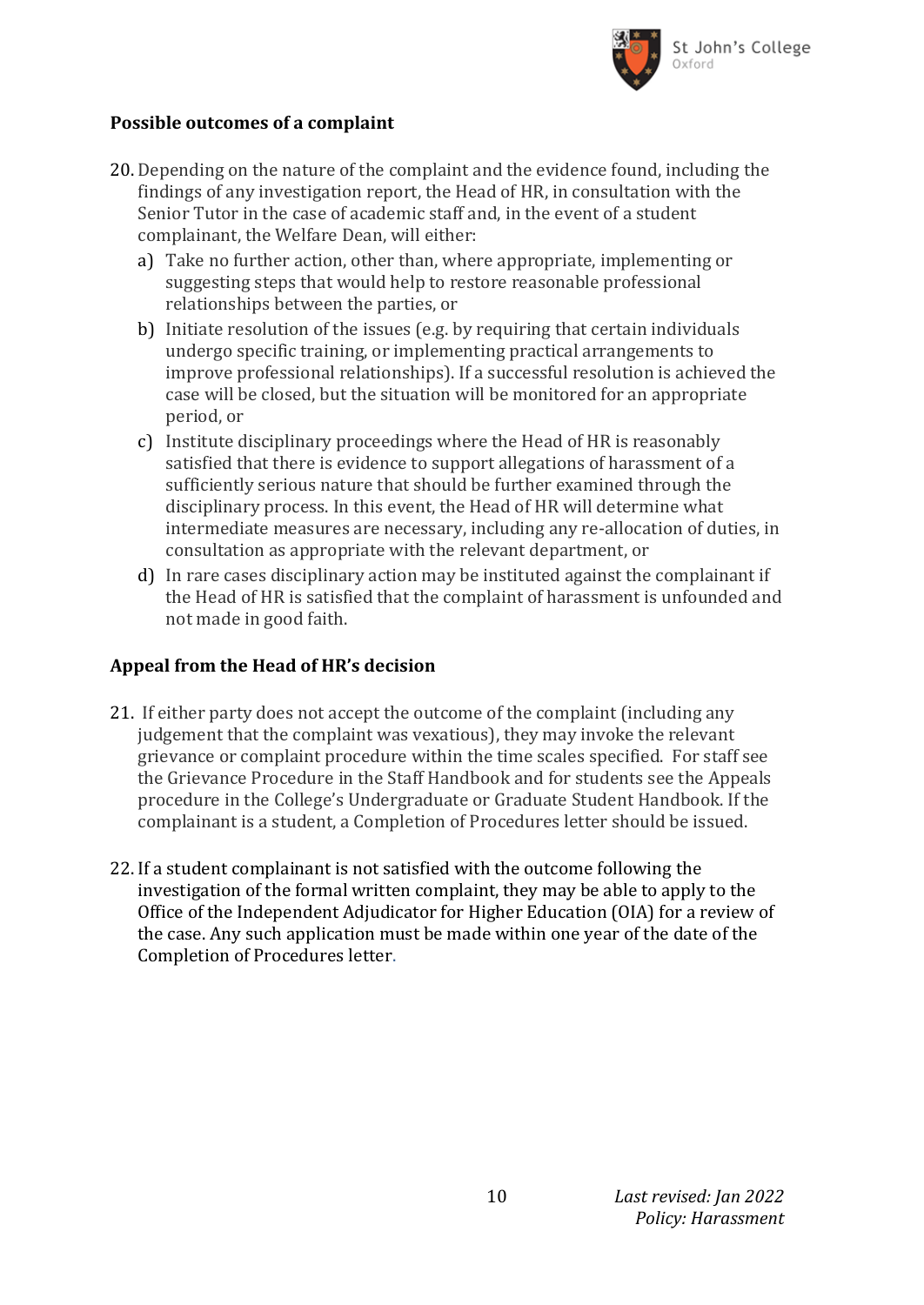

#### **Possible outcomes of a complaint**

- 20. Depending on the nature of the complaint and the evidence found, including the findings of any investigation report, the Head of HR, in consultation with the Senior Tutor in the case of academic staff and, in the event of a student complainant, the Welfare Dean, will either:
	- a) Take no further action, other than, where appropriate, implementing or suggesting steps that would help to restore reasonable professional relationships between the parties, or
	- b) Initiate resolution of the issues (e.g. by requiring that certain individuals undergo specific training, or implementing practical arrangements to improve professional relationships). If a successful resolution is achieved the case will be closed, but the situation will be monitored for an appropriate period, or
	- c) Institute disciplinary proceedings where the Head of HR is reasonably satisfied that there is evidence to support allegations of harassment of a sufficiently serious nature that should be further examined through the disciplinary process. In this event, the Head of HR will determine what intermediate measures are necessary, including any re-allocation of duties, in consultation as appropriate with the relevant department, or
	- d) In rare cases disciplinary action may be instituted against the complainant if the Head of HR is satisfied that the complaint of harassment is unfounded and not made in good faith.

### **Appeal from the Head of HR's decision**

- 21. If either party does not accept the outcome of the complaint (including any judgement that the complaint was vexatious), they may invoke the relevant grievance or complaint procedure within the time scales specified. For staff see the Grievance Procedure in the Staff Handbook and for students see the Appeals procedure in the College's Undergraduate or Graduate Student Handbook. If the complainant is a student, a Completion of Procedures letter should be issued.
- 22. If a student complainant is not satisfied with the outcome following the investigation of the formal written complaint, they may be able to apply to the Office of the Independent Adjudicator for Higher Education (OIA) for a review of the case. Any such application must be made within one year of the date of the Completion of Procedures letter.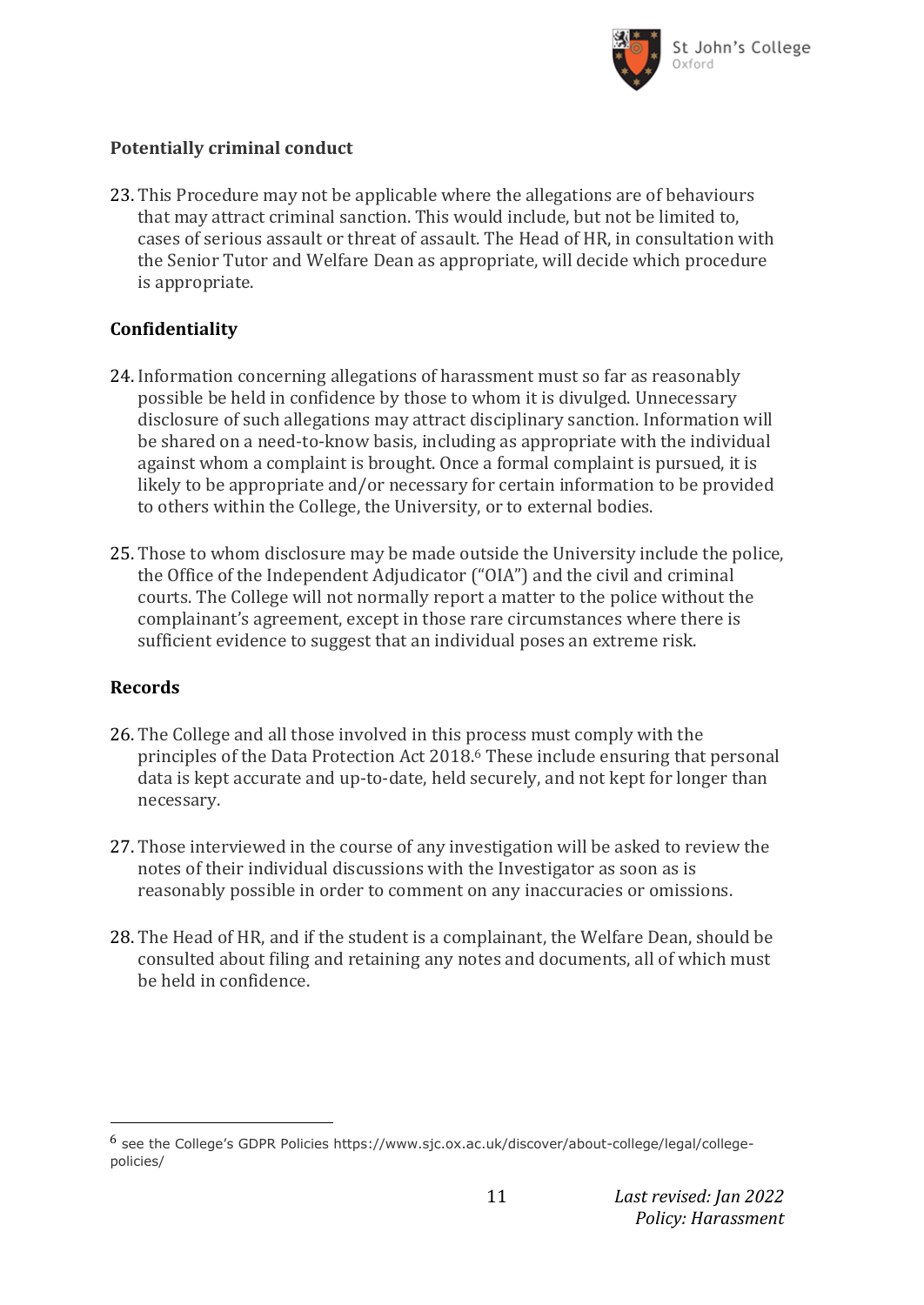

### **Potentially criminal conduct**

23. This Procedure may not be applicable where the allegations are of behaviours that may attract criminal sanction. This would include, but not be limited to, cases of serious assault or threat of assault. The Head of HR, in consultation with the Senior Tutor and Welfare Dean as appropriate, will decide which procedure is appropriate.

### **Confidentiality**

- 24. Information concerning allegations of harassment must so far as reasonably possible be held in confidence by those to whom it is divulged. Unnecessary disclosure of such allegations may attract disciplinary sanction. Information will be shared on a need-to-know basis, including as appropriate with the individual against whom a complaint is brought. Once a formal complaint is pursued, it is likely to be appropriate and/or necessary for certain information to be provided to others within the College, the University, or to external bodies.
- 25. Those to whom disclosure may be made outside the University include the police, the Office of the Independent Adjudicator ("OIA") and the civil and criminal courts. The College will not normally report a matter to the police without the complainant's agreement, except in those rare circumstances where there is sufficient evidence to suggest that an individual poses an extreme risk.

### **Records**

- 26. The College and all those involved in this process must comply with the principles of the Data Protection Act 2018.<sup>6</sup> These include ensuring that personal data is kept accurate and up-to-date, held securely, and not kept for longer than necessary.
- 27. Those interviewed in the course of any investigation will be asked to review the notes of their individual discussions with the Investigator as soon as is reasonably possible in order to comment on any inaccuracies or omissions.
- 28. The Head of HR, and if the student is a complainant, the Welfare Dean, should be consulted about filing and retaining any notes and documents, all of which must be held in confidence.

<sup>6</sup> see the College's GDPR Policies https://www.sjc.ox.ac.uk/discover/about-college/legal/collegepolicies/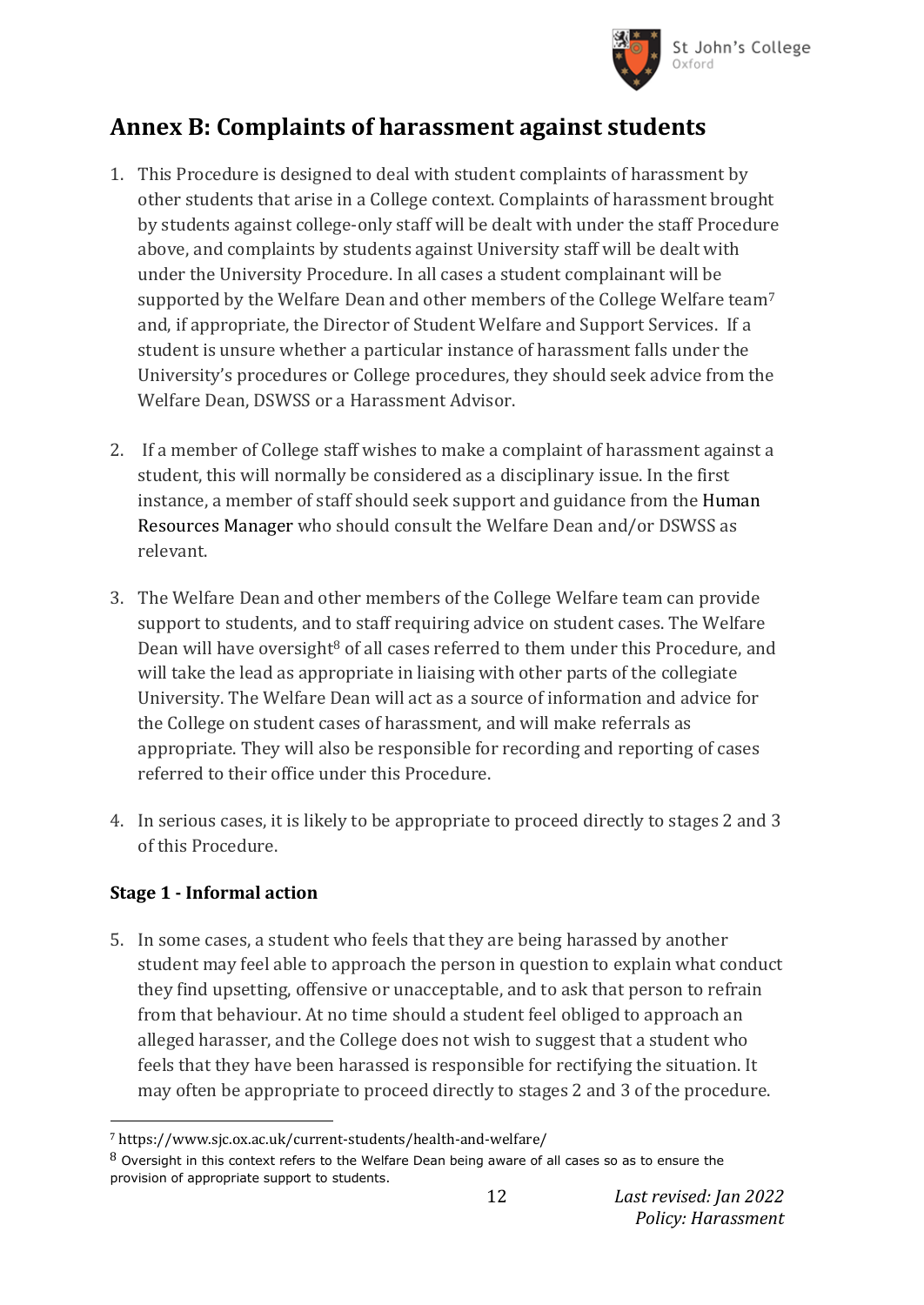

# **Annex B: Complaints of harassment against students**

- 1. This Procedure is designed to deal with student complaints of harassment by other students that arise in a College context. Complaints of harassment brought by students against college-only staff will be dealt with under the staff Procedure above, and complaints by students against University staff will be dealt with under the University Procedure. In all cases a student complainant will be supported by the Welfare Dean and other members of the College Welfare team<sup>7</sup> and, if appropriate, the Director of Student Welfare and Support Services. If a student is unsure whether a particular instance of harassment falls under the University's procedures or College procedures, they should seek advice from the Welfare Dean, DSWSS or a Harassment Advisor.
- 2. If a member of College staff wishes to make a complaint of harassment against a student, this will normally be considered as a disciplinary issue. In the first instance, a member of staff should seek support and guidance from the Human Resources Manager who should consult the Welfare Dean and/or DSWSS as relevant.
- 3. The Welfare Dean and other members of the College Welfare team can provide support to students, and to staff requiring advice on student cases. The Welfare Dean will have oversight<sup>8</sup> of all cases referred to them under this Procedure, and will take the lead as appropriate in liaising with other parts of the collegiate University. The Welfare Dean will act as a source of information and advice for the College on student cases of harassment, and will make referrals as appropriate. They will also be responsible for recording and reporting of cases referred to their office under this Procedure.
- 4. In serious cases, it is likely to be appropriate to proceed directly to stages 2 and 3 of this Procedure.

## **Stage 1 - Informal action**

 $\overline{\phantom{a}}$ 

5. In some cases, a student who feels that they are being harassed by another student may feel able to approach the person in question to explain what conduct they find upsetting, offensive or unacceptable, and to ask that person to refrain from that behaviour. At no time should a student feel obliged to approach an alleged harasser, and the College does not wish to suggest that a student who feels that they have been harassed is responsible for rectifying the situation. It may often be appropriate to proceed directly to stages 2 and 3 of the procedure.

<sup>7</sup> https://www.sjc.ox.ac.uk/current-students/health-and-welfare/

 $8$  Oversight in this context refers to the Welfare Dean being aware of all cases so as to ensure the provision of appropriate support to students.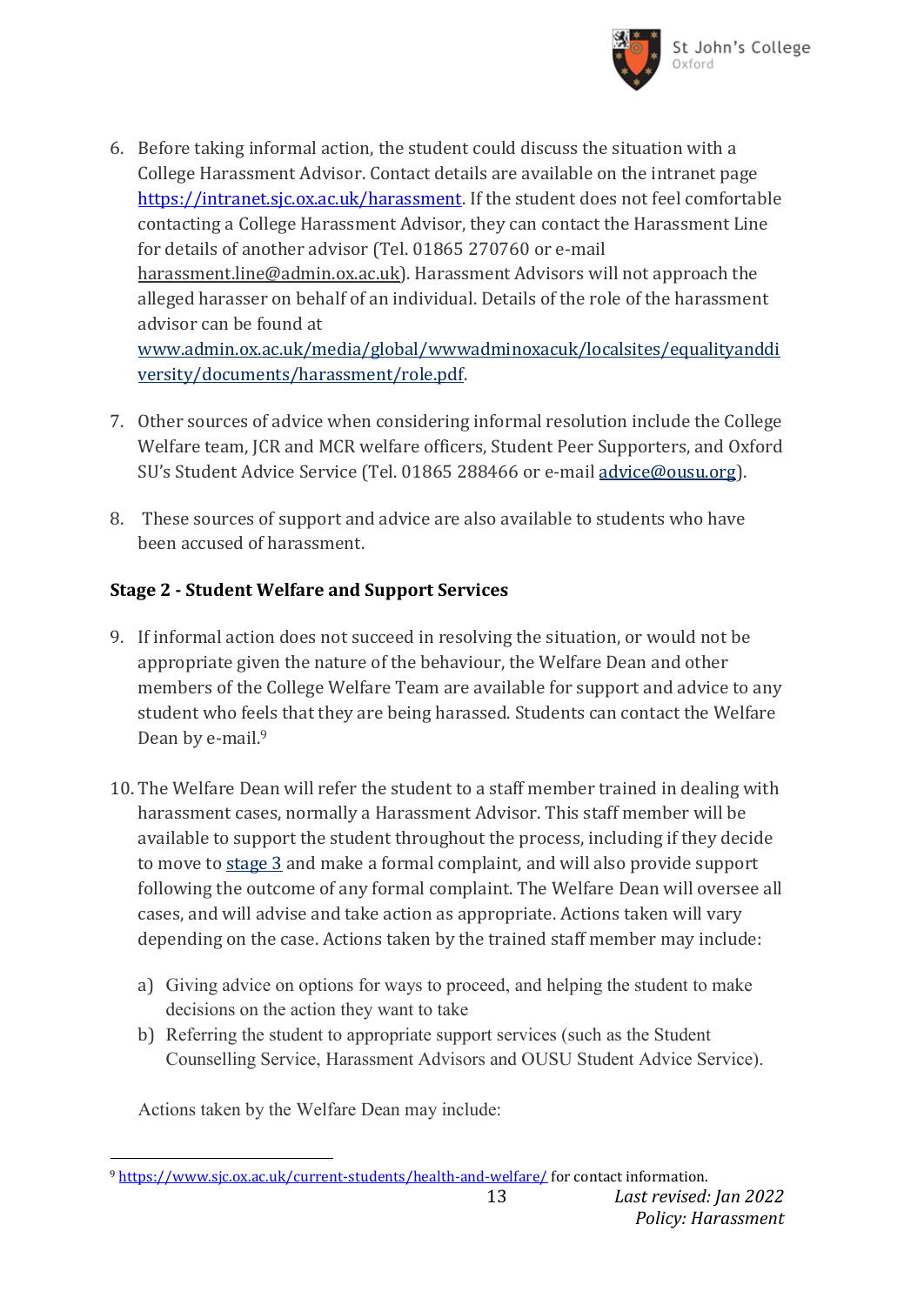

- 6. Before taking informal action, the student could discuss the situation with a College Harassment Advisor. Contact details are available on the intranet page [https://intranet.sjc.ox.ac.uk/harassment.](https://intranet.sjc.ox.ac.uk/harassment) If the student does not feel comfortable contacting a College Harassment Advisor, they can contact the Harassment Line for details of another advisor (Tel. 01865 270760 or e-mail [harassment.line@admin.ox.ac.uk\)](mailto:harassment.line@admin.ox.ac.uk). Harassment Advisors will not approach the alleged harasser on behalf of an individual. Details of the role of the harassment advisor can be found at [www.admin.ox.ac.uk/media/global/wwwadminoxacuk/localsites/equalityanddi](http://www.admin.ox.ac.uk/media/global/wwwadminoxacuk/localsites/equalityanddiversity/documents/harassment/role.pdf)
- 7. Other sources of advice when considering informal resolution include the College Welfare team, JCR and MCR welfare officers, Student Peer Supporters, and Oxford SU's Student Advice Service (Tel. 01865 288466 or e-mail [advice@ousu.org\)](mailto:advice@ousu.org).
- 8. These sources of support and advice are also available to students who have been accused of harassment.

## **Stage 2 - Student Welfare and Support Services**

[versity/documents/harassment/role.pdf.](http://www.admin.ox.ac.uk/media/global/wwwadminoxacuk/localsites/equalityanddiversity/documents/harassment/role.pdf)

- 9. If informal action does not succeed in resolving the situation, or would not be appropriate given the nature of the behaviour, the Welfare Dean and other members of the College Welfare Team are available for support and advice to any student who feels that they are being harassed. Students can contact the Welfare Dean by e-mail.<sup>9</sup>
- 10. The Welfare Dean will refer the student to a staff member trained in dealing with harassment cases, normally a Harassment Advisor. This staff member will be available to support the student throughout the process, including if they decide to move to [stage 3](http://www.admin.ox.ac.uk/eop/harassmentadvice/policyandprocedure/complaintsofharassmentagainststudents/#_blank) and make a formal complaint, and will also provide support following the outcome of any formal complaint. The Welfare Dean will oversee all cases, and will advise and take action as appropriate. Actions taken will vary depending on the case. Actions taken by the trained staff member may include:
	- a) Giving advice on options for ways to proceed, and helping the student to make decisions on the action they want to take
	- b) Referring the student to appropriate support services (such as the Student Counselling Service, Harassment Advisors and OUSU Student Advice Service).

Actions taken by the Welfare Dean may include:

 $\overline{\phantom{a}}$ <sup>9</sup> <https://www.sjc.ox.ac.uk/current-students/health-and-welfare/> for contact information.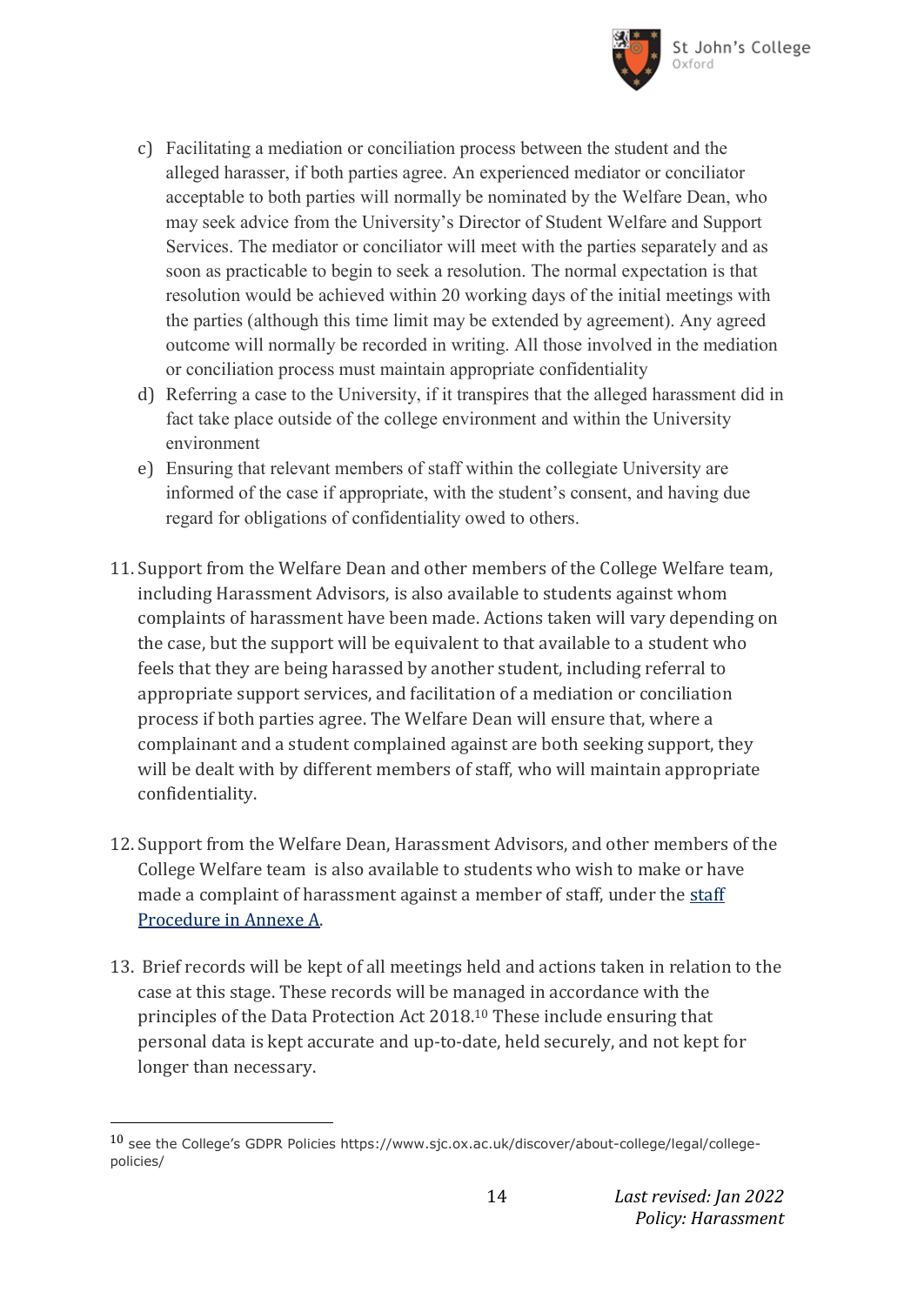

- c) Facilitating a mediation or conciliation process between the student and the alleged harasser, if both parties agree. An experienced mediator or conciliator acceptable to both parties will normally be nominated by the Welfare Dean, who may seek advice from the University's Director of Student Welfare and Support Services. The mediator or conciliator will meet with the parties separately and as soon as practicable to begin to seek a resolution. The normal expectation is that resolution would be achieved within 20 working days of the initial meetings with the parties (although this time limit may be extended by agreement). Any agreed outcome will normally be recorded in writing. All those involved in the mediation or conciliation process must maintain appropriate confidentiality
- d) Referring a case to the University, if it transpires that the alleged harassment did in fact take place outside of the college environment and within the University environment
- e) Ensuring that relevant members of staff within the collegiate University are informed of the case if appropriate, with the student's consent, and having due regard for obligations of confidentiality owed to others.
- 11. Support from the Welfare Dean and other members of the College Welfare team, including Harassment Advisors, is also available to students against whom complaints of harassment have been made. Actions taken will vary depending on the case, but the support will be equivalent to that available to a student who feels that they are being harassed by another student, including referral to appropriate support services, and facilitation of a mediation or conciliation process if both parties agree. The Welfare Dean will ensure that, where a complainant and a student complained against are both seeking support, they will be dealt with by different members of staff, who will maintain appropriate confidentiality.
- 12. Support from the Welfare Dean, Harassment Advisors, and other members of the College Welfare team is also available to students who wish to make or have made a complaint of harassment against a member of staff, under the staff [Procedure in Annexe A.](http://www.admin.ox.ac.uk/eop/harassmentadvice/policyandprocedure/complaintsofharassmentagainstuniversitystaff/)
- 13. Brief records will be kept of all meetings held and actions taken in relation to the case at this stage. These records will be managed in accordance with the principles of the Data Protection Act 2018.<sup>10</sup> These include ensuring that personal data is kept accurate and up-to-date, held securely, and not kept for longer than necessary.

<sup>10</sup> see the College's GDPR Policies https://www.sjc.ox.ac.uk/discover/about-college/legal/collegepolicies/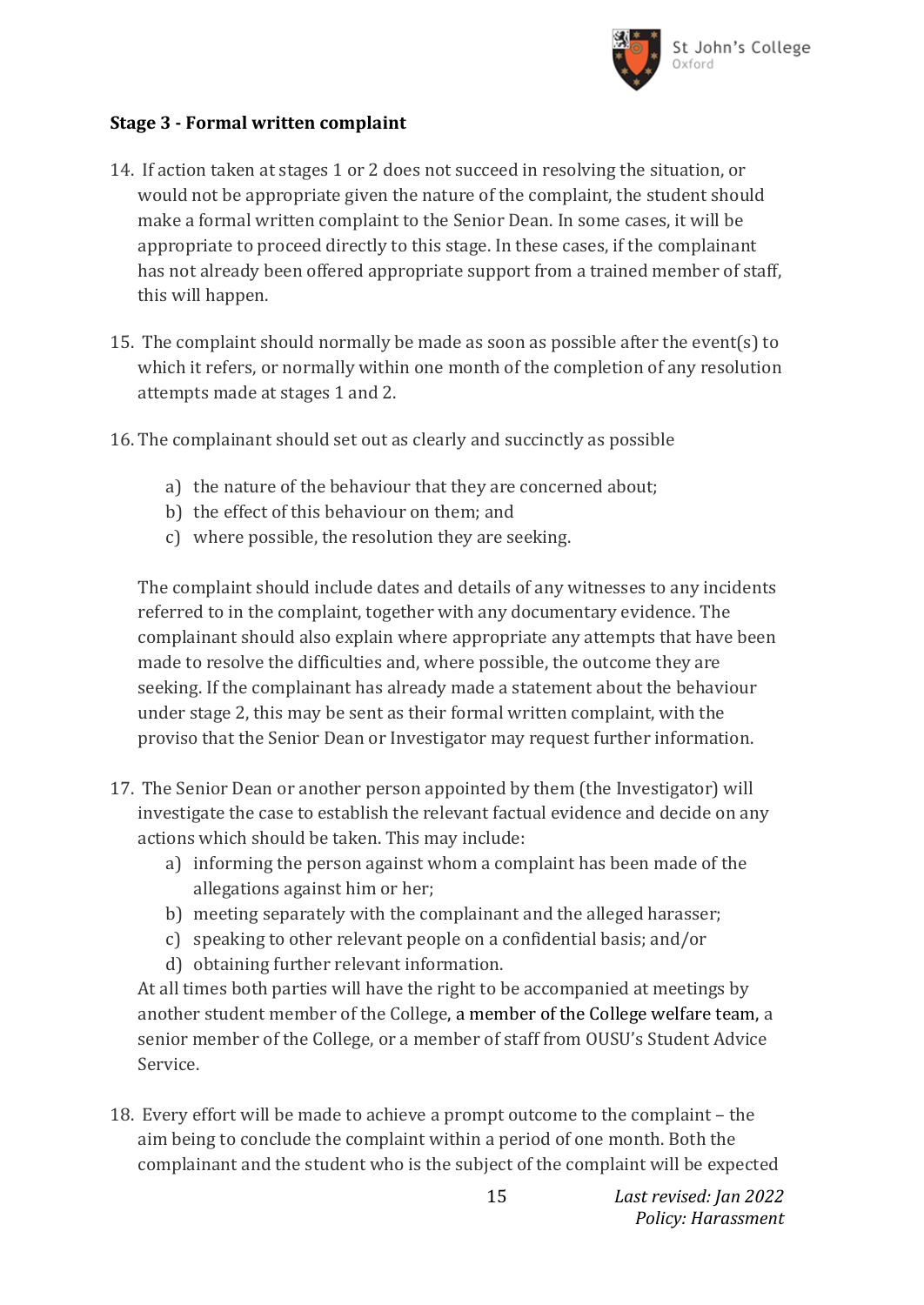

### **Stage 3 - Formal written complaint**

- 14. If action taken at stages 1 or 2 does not succeed in resolving the situation, or would not be appropriate given the nature of the complaint, the student should make a formal written complaint to the Senior Dean. In some cases, it will be appropriate to proceed directly to this stage. In these cases, if the complainant has not already been offered appropriate support from a trained member of staff, this will happen.
- 15. The complaint should normally be made as soon as possible after the event(s) to which it refers, or normally within one month of the completion of any resolution attempts made at stages 1 and 2.
- 16. The complainant should set out as clearly and succinctly as possible
	- a) the nature of the behaviour that they are concerned about;
	- b) the effect of this behaviour on them; and
	- c) where possible, the resolution they are seeking.

The complaint should include dates and details of any witnesses to any incidents referred to in the complaint, together with any documentary evidence. The complainant should also explain where appropriate any attempts that have been made to resolve the difficulties and, where possible, the outcome they are seeking. If the complainant has already made a statement about the behaviour under stage 2, this may be sent as their formal written complaint, with the proviso that the Senior Dean or Investigator may request further information.

- 17. The Senior Dean or another person appointed by them (the Investigator) will investigate the case to establish the relevant factual evidence and decide on any actions which should be taken. This may include:
	- a) informing the person against whom a complaint has been made of the allegations against him or her;
	- b) meeting separately with the complainant and the alleged harasser;
	- c) speaking to other relevant people on a confidential basis; and/or
	- d) obtaining further relevant information.

At all times both parties will have the right to be accompanied at meetings by another student member of the College, a member of the College welfare team, a senior member of the College, or a member of staff from OUSU's Student Advice Service.

18. Every effort will be made to achieve a prompt outcome to the complaint – the aim being to conclude the complaint within a period of one month. Both the complainant and the student who is the subject of the complaint will be expected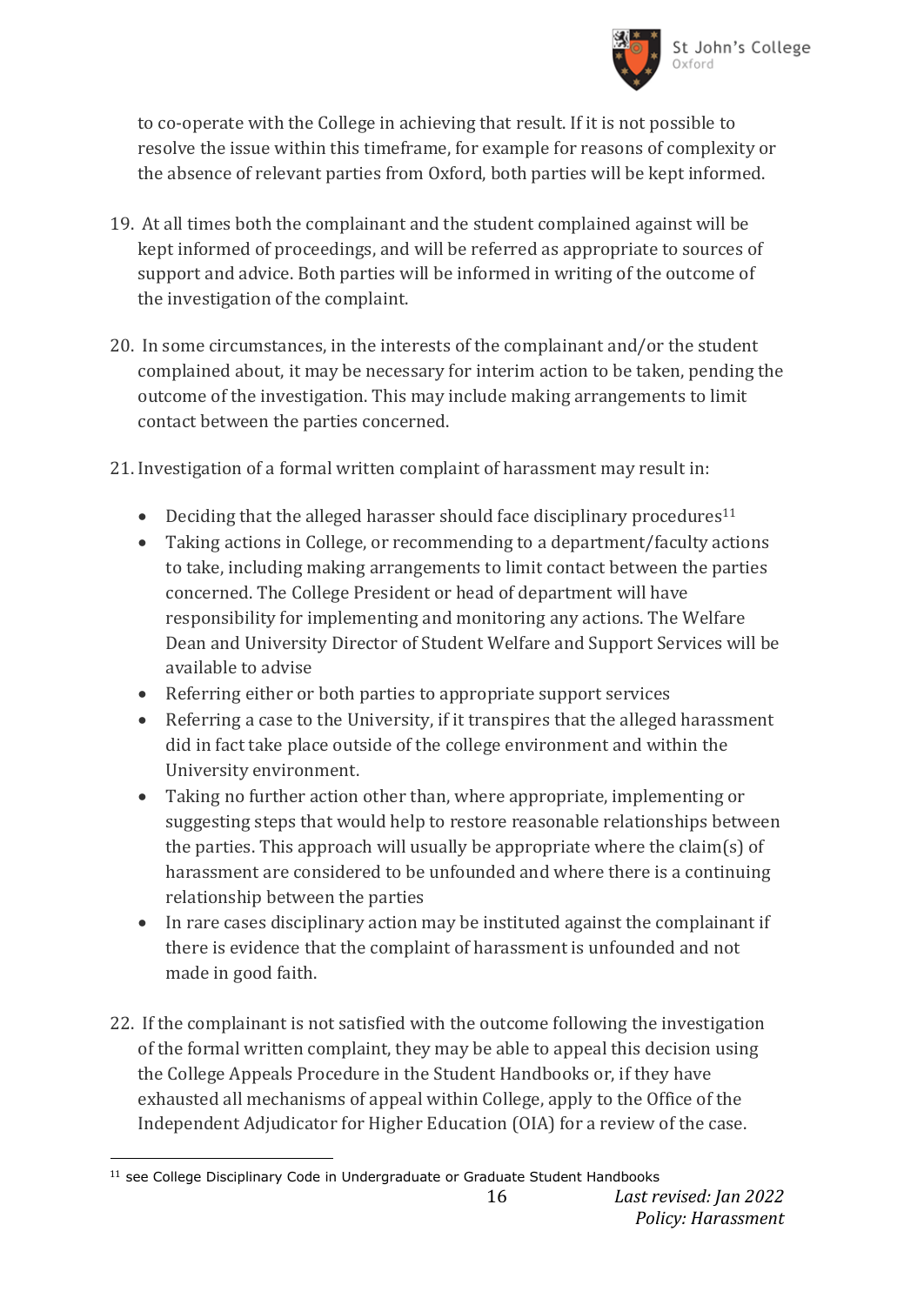

to co-operate with the College in achieving that result. If it is not possible to resolve the issue within this timeframe, for example for reasons of complexity or the absence of relevant parties from Oxford, both parties will be kept informed.

- 19. At all times both the complainant and the student complained against will be kept informed of proceedings, and will be referred as appropriate to sources of support and advice. Both parties will be informed in writing of the outcome of the investigation of the complaint.
- 20. In some circumstances, in the interests of the complainant and/or the student complained about, it may be necessary for interim action to be taken, pending the outcome of the investigation. This may include making arrangements to limit contact between the parties concerned.
- 21. Investigation of a formal written complaint of harassment may result in:
	- $\bullet$  Deciding that the alleged harasser should face disciplinary procedures<sup>11</sup>
	- Taking actions in College, or recommending to a department/faculty actions to take, including making arrangements to limit contact between the parties concerned. The College President or head of department will have responsibility for implementing and monitoring any actions. The Welfare Dean and University Director of Student Welfare and Support Services will be available to advise
	- Referring either or both parties to appropriate support services
	- Referring a case to the University, if it transpires that the alleged harassment did in fact take place outside of the college environment and within the University environment.
	- Taking no further action other than, where appropriate, implementing or suggesting steps that would help to restore reasonable relationships between the parties. This approach will usually be appropriate where the claim(s) of harassment are considered to be unfounded and where there is a continuing relationship between the parties
	- In rare cases disciplinary action may be instituted against the complainant if there is evidence that the complaint of harassment is unfounded and not made in good faith.
- 22. If the complainant is not satisfied with the outcome following the investigation of the formal written complaint, they may be able to appeal this decision using the College Appeals Procedure in the Student Handbooks or, if they have exhausted all mechanisms of appeal within College, apply to the Office of the Independent Adjudicator for Higher Education (OIA) for a review of the case.

<sup>&</sup>lt;sup>11</sup> see College Disciplinary Code in Undergraduate or Graduate Student Handbooks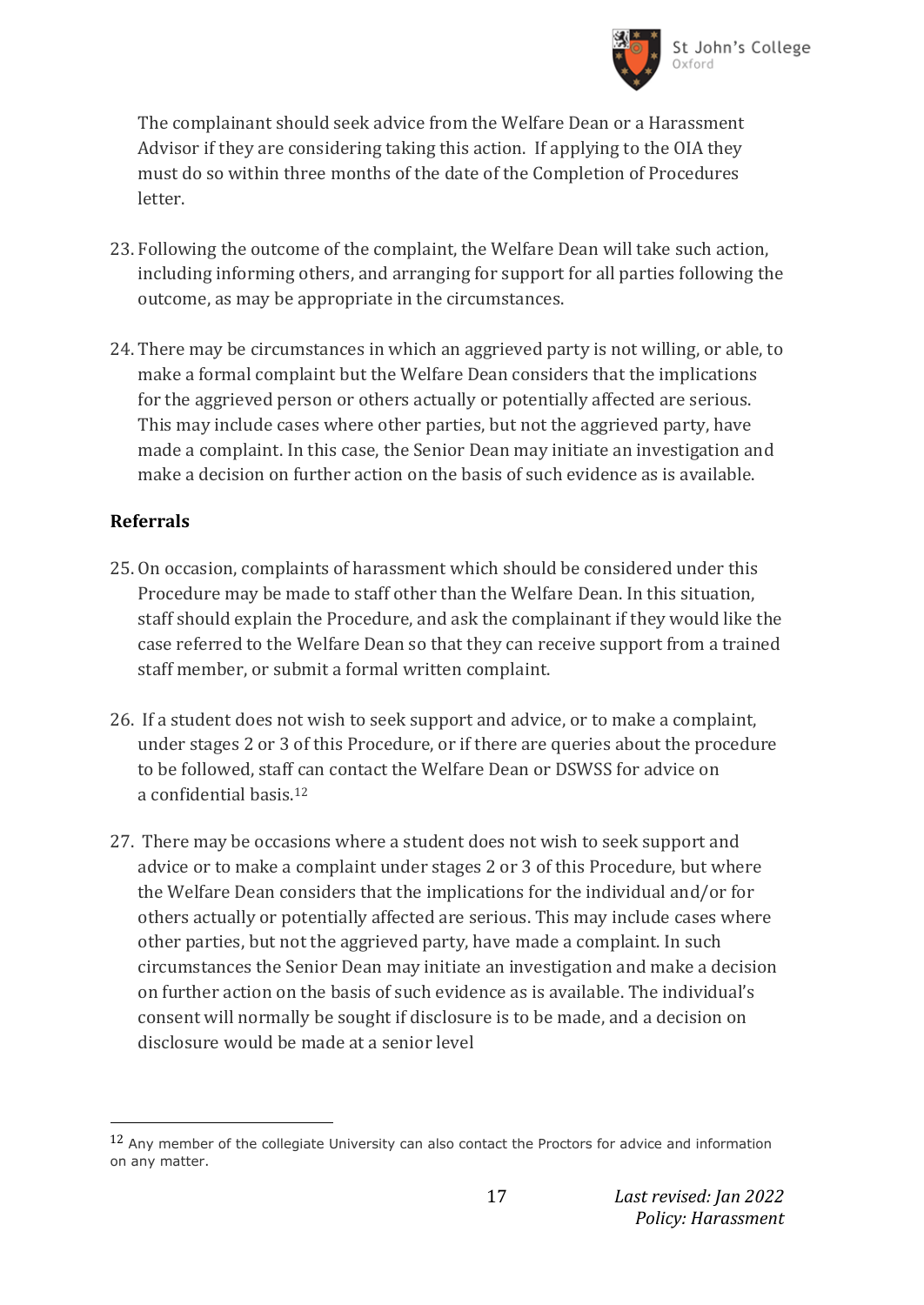

The complainant should seek advice from the Welfare Dean or a Harassment Advisor if they are considering taking this action. If applying to the OIA they must do so within three months of the date of the Completion of Procedures letter.

- 23. Following the outcome of the complaint, the Welfare Dean will take such action, including informing others, and arranging for support for all parties following the outcome, as may be appropriate in the circumstances.
- 24. There may be circumstances in which an aggrieved party is not willing, or able, to make a formal complaint but the Welfare Dean considers that the implications for the aggrieved person or others actually or potentially affected are serious. This may include cases where other parties, but not the aggrieved party, have made a complaint. In this case, the Senior Dean may initiate an investigation and make a decision on further action on the basis of such evidence as is available.

## **Referrals**

- 25. On occasion, complaints of harassment which should be considered under this Procedure may be made to staff other than the Welfare Dean. In this situation, staff should explain the Procedure, and ask the complainant if they would like the case referred to the Welfare Dean so that they can receive support from a trained staff member, or submit a formal written complaint.
- 26. If a student does not wish to seek support and advice, or to make a complaint, under stages 2 or 3 of this Procedure, or if there are queries about the procedure to be followed, staff can contact the Welfare Dean or DSWSS for advice on a confidential basis.<sup>12</sup>
- 27. There may be occasions where a student does not wish to seek support and advice or to make a complaint under stages 2 or 3 of this Procedure, but where the Welfare Dean considers that the implications for the individual and/or for others actually or potentially affected are serious. This may include cases where other parties, but not the aggrieved party, have made a complaint. In such circumstances the Senior Dean may initiate an investigation and make a decision on further action on the basis of such evidence as is available. The individual's consent will normally be sought if disclosure is to be made, and a decision on disclosure would be made at a senior level

<sup>12</sup> Any member of the collegiate University can also contact the Proctors for advice and information on any matter.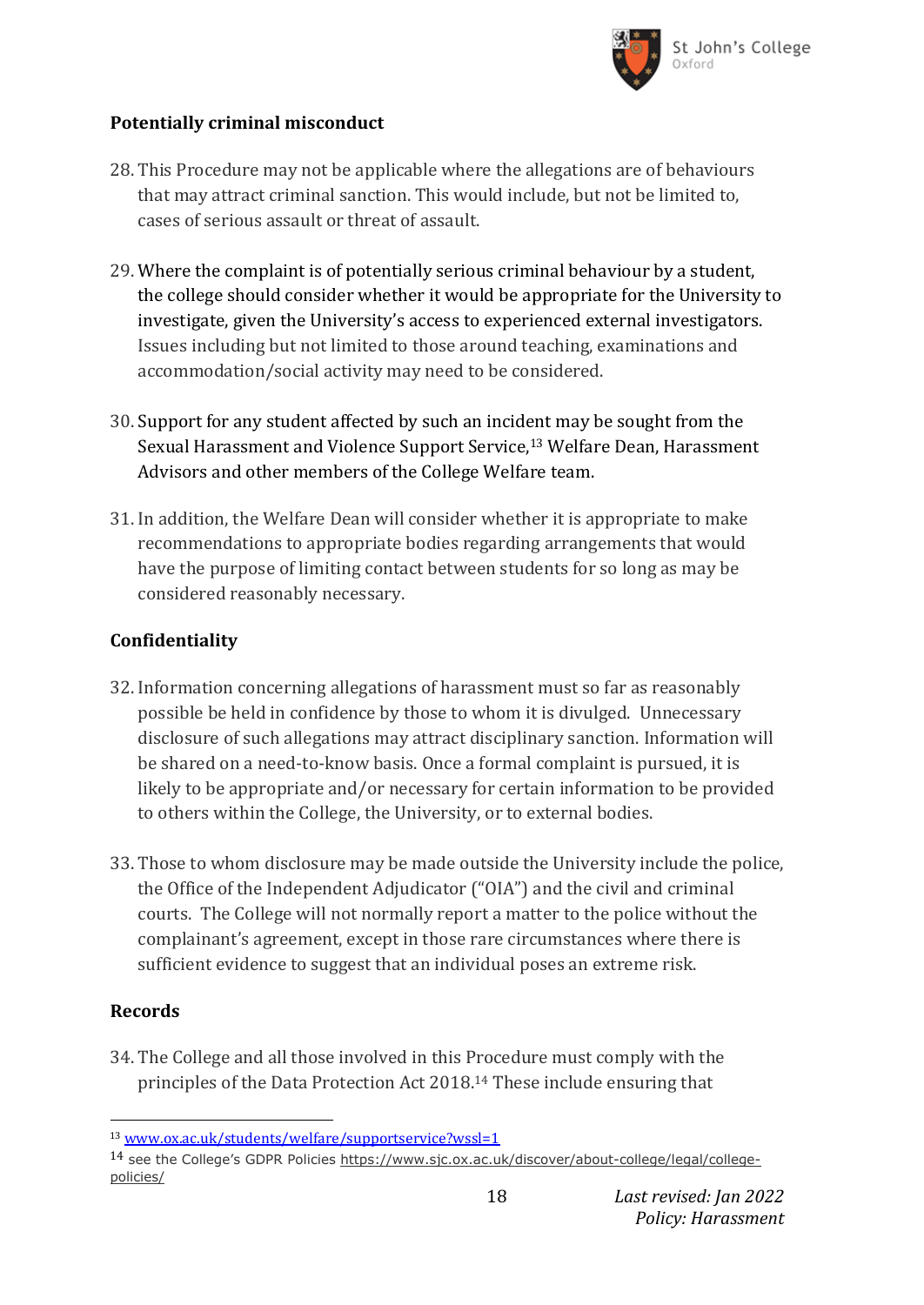

## **Potentially criminal misconduct**

- 28. This Procedure may not be applicable where the allegations are of behaviours that may attract criminal sanction. This would include, but not be limited to, cases of serious assault or threat of assault.
- 29. Where the complaint is of potentially serious criminal behaviour by a student, the college should consider whether it would be appropriate for the University to investigate, given the University's access to experienced external investigators. Issues including but not limited to those around teaching, examinations and accommodation/social activity may need to be considered.
- 30. Support for any student affected by such an incident may be sought from the Sexual Harassment and Violence Support Service,<sup>13</sup> Welfare Dean, Harassment Advisors and other members of the College Welfare team.
- 31. In addition, the Welfare Dean will consider whether it is appropriate to make recommendations to appropriate bodies regarding arrangements that would have the purpose of limiting contact between students for so long as may be considered reasonably necessary.

## **Confidentiality**

- 32. Information concerning allegations of harassment must so far as reasonably possible be held in confidence by those to whom it is divulged. Unnecessary disclosure of such allegations may attract disciplinary sanction. Information will be shared on a need-to-know basis. Once a formal complaint is pursued, it is likely to be appropriate and/or necessary for certain information to be provided to others within the College, the University, or to external bodies.
- 33. Those to whom disclosure may be made outside the University include the police, the Office of the Independent Adjudicator ("OIA") and the civil and criminal courts. The College will not normally report a matter to the police without the complainant's agreement, except in those rare circumstances where there is sufficient evidence to suggest that an individual poses an extreme risk.

### **Records**

34. The College and all those involved in this Procedure must comply with the principles of the Data Protection Act 2018.<sup>14</sup> These include ensuring that

18 *Last revised: Jan 2022 Policy: Harassment*

l <sup>13</sup> [www.ox.ac.uk/students/welfare/supportservice?wssl=1](http://www.ox.ac.uk/students/welfare/supportservice?wssl=1)

<sup>14</sup> see the College's GDPR Policies [https://www.sjc.ox.ac.uk/discover/about-college/legal/college](https://www.sjc.ox.ac.uk/discover/about-college/legal/college-policies/)[policies/](https://www.sjc.ox.ac.uk/discover/about-college/legal/college-policies/)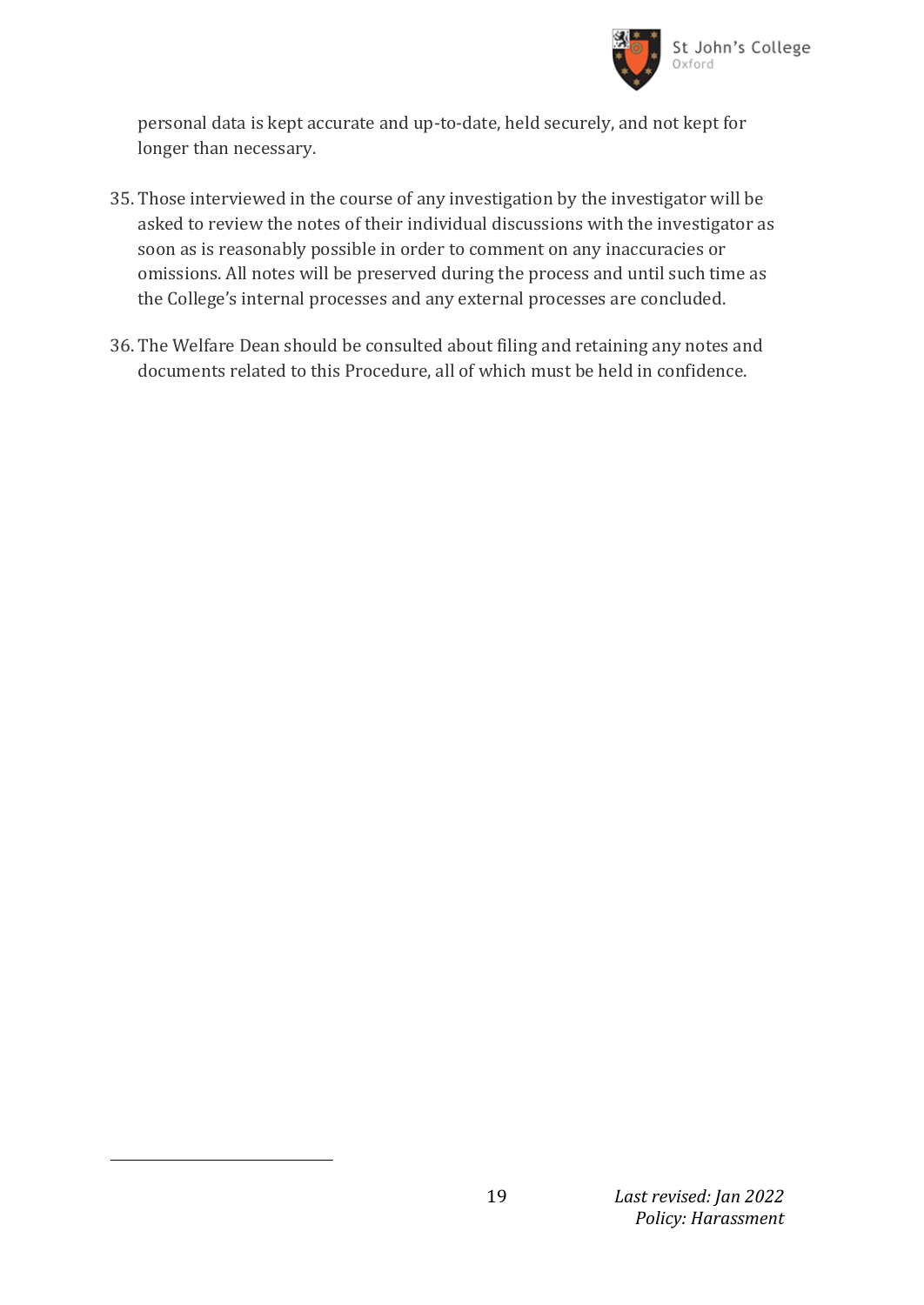

personal data is kept accurate and up-to-date, held securely, and not kept for longer than necessary.

- 35. Those interviewed in the course of any investigation by the investigator will be asked to review the notes of their individual discussions with the investigator as soon as is reasonably possible in order to comment on any inaccuracies or omissions. All notes will be preserved during the process and until such time as the College's internal processes and any external processes are concluded.
- 36. The Welfare Dean should be consulted about filing and retaining any notes and documents related to this Procedure, all of which must be held in confidence.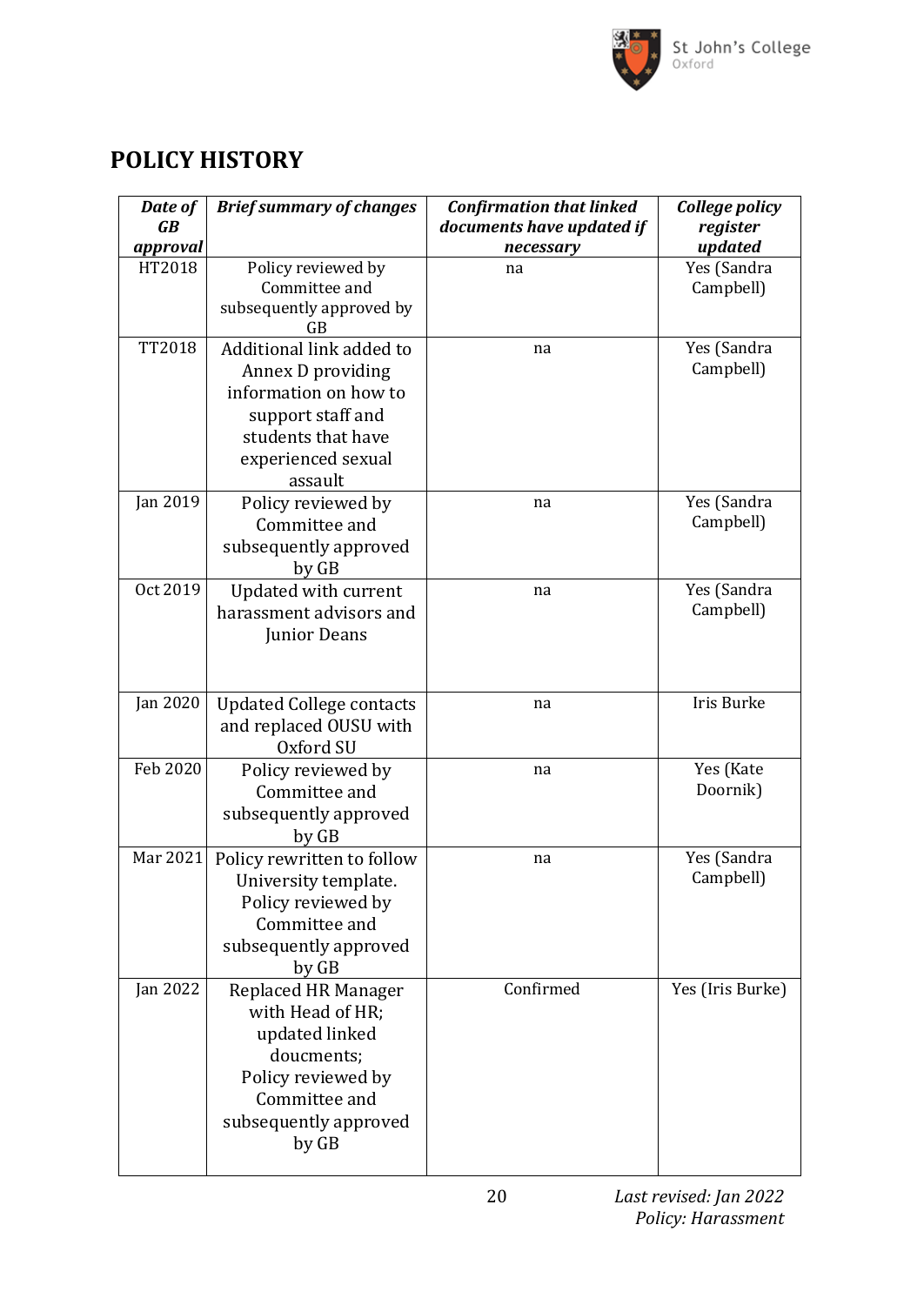

# **POLICY HISTORY**

| Date of<br>$\overline{GB}$ | <b>Brief summary of changes</b>                | <b>Confirmation that linked</b><br>documents have updated if | College policy<br>register |
|----------------------------|------------------------------------------------|--------------------------------------------------------------|----------------------------|
| approval                   |                                                | necessary                                                    | updated                    |
| HT2018                     | Policy reviewed by                             | na                                                           | Yes (Sandra                |
|                            | Committee and                                  |                                                              | Campbell)                  |
|                            | subsequently approved by                       |                                                              |                            |
|                            | GB                                             |                                                              |                            |
| <b>TT2018</b>              | Additional link added to                       | na                                                           | Yes (Sandra                |
|                            | Annex D providing                              |                                                              | Campbell)                  |
|                            | information on how to                          |                                                              |                            |
|                            | support staff and                              |                                                              |                            |
|                            | students that have                             |                                                              |                            |
|                            | experienced sexual                             |                                                              |                            |
|                            | assault                                        |                                                              |                            |
| Jan 2019                   | Policy reviewed by                             | na                                                           | Yes (Sandra                |
|                            | Committee and                                  |                                                              | Campbell)                  |
|                            | subsequently approved                          |                                                              |                            |
|                            | by GB                                          |                                                              |                            |
| Oct 2019                   | Updated with current                           | na                                                           | Yes (Sandra                |
|                            | harassment advisors and                        |                                                              | Campbell)                  |
|                            | Junior Deans                                   |                                                              |                            |
|                            |                                                |                                                              |                            |
|                            |                                                |                                                              |                            |
| Jan 2020                   | <b>Updated College contacts</b>                | na                                                           | Iris Burke                 |
|                            | and replaced OUSU with                         |                                                              |                            |
|                            | Oxford SU                                      |                                                              |                            |
| Feb 2020                   | Policy reviewed by                             | na                                                           | Yes (Kate                  |
|                            | Committee and                                  |                                                              | Doornik)                   |
|                            | subsequently approved                          |                                                              |                            |
|                            | by GB                                          |                                                              |                            |
| Mar 2021                   | Policy rewritten to follow                     | na                                                           | Yes (Sandra<br>Campbell)   |
|                            | University template.                           |                                                              |                            |
|                            | Policy reviewed by                             |                                                              |                            |
|                            | Committee and                                  |                                                              |                            |
|                            | subsequently approved                          |                                                              |                            |
| <b>Jan 2022</b>            | by GB                                          | Confirmed                                                    | Yes (Iris Burke)           |
|                            | <b>Replaced HR Manager</b><br>with Head of HR; |                                                              |                            |
|                            |                                                |                                                              |                            |
|                            | updated linked<br>doucments;                   |                                                              |                            |
|                            | Policy reviewed by                             |                                                              |                            |
|                            | Committee and                                  |                                                              |                            |
|                            | subsequently approved                          |                                                              |                            |
|                            | by GB                                          |                                                              |                            |
|                            |                                                |                                                              |                            |